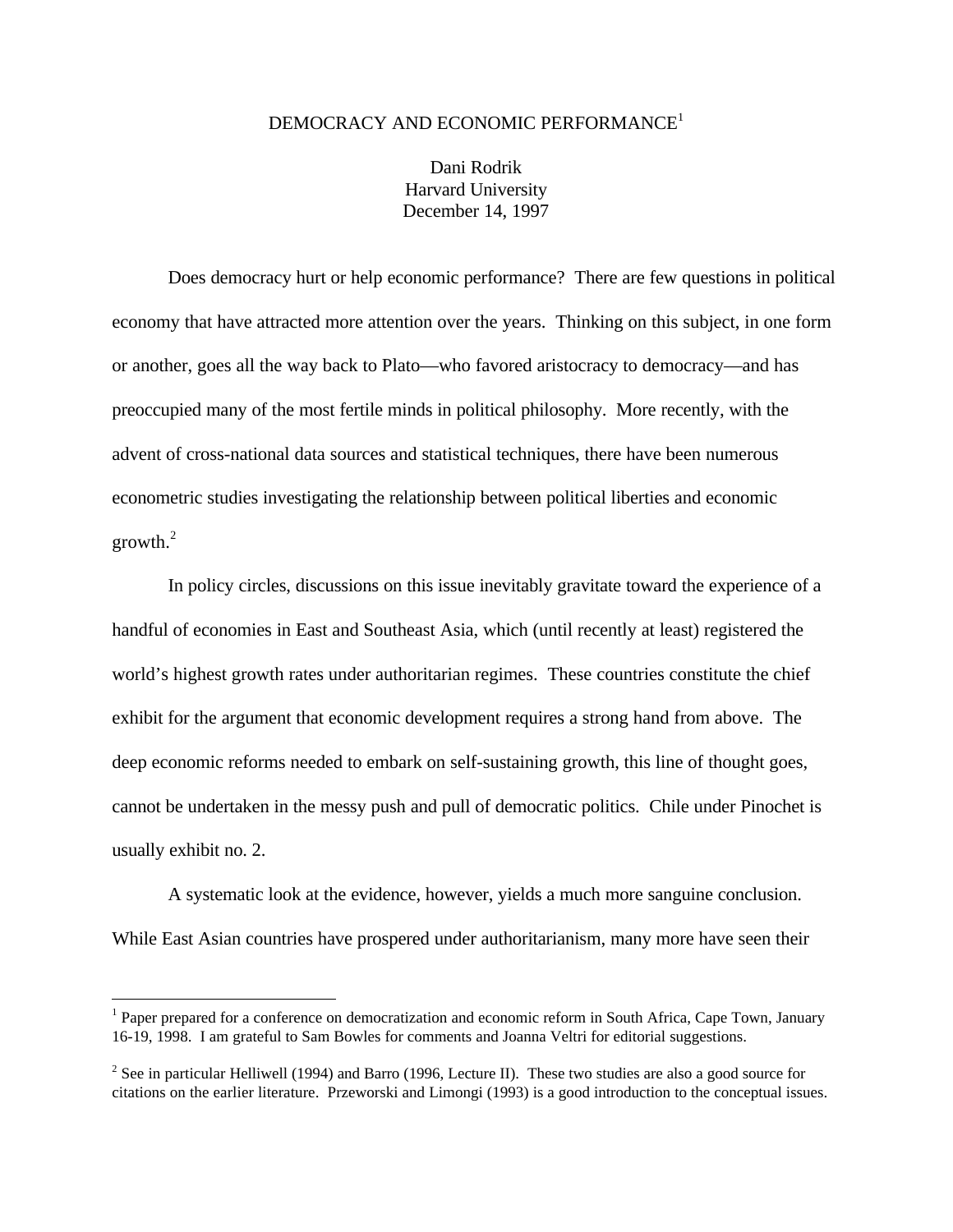### DEMOCRACY AND ECONOMIC PERFORMANCE<sup>1</sup>

Dani Rodrik Harvard University December 14, 1997

Does democracy hurt or help economic performance? There are few questions in political economy that have attracted more attention over the years. Thinking on this subject, in one form or another, goes all the way back to Plato—who favored aristocracy to democracy—and has preoccupied many of the most fertile minds in political philosophy. More recently, with the advent of cross-national data sources and statistical techniques, there have been numerous econometric studies investigating the relationship between political liberties and economic  $growth.<sup>2</sup>$ 

In policy circles, discussions on this issue inevitably gravitate toward the experience of a handful of economies in East and Southeast Asia, which (until recently at least) registered the world's highest growth rates under authoritarian regimes. These countries constitute the chief exhibit for the argument that economic development requires a strong hand from above. The deep economic reforms needed to embark on self-sustaining growth, this line of thought goes, cannot be undertaken in the messy push and pull of democratic politics. Chile under Pinochet is usually exhibit no. 2.

A systematic look at the evidence, however, yields a much more sanguine conclusion. While East Asian countries have prospered under authoritarianism, many more have seen their

<sup>&</sup>lt;sup>1</sup> Paper prepared for a conference on democratization and economic reform in South Africa, Cape Town, January 16-19, 1998. I am grateful to Sam Bowles for comments and Joanna Veltri for editorial suggestions.

<sup>&</sup>lt;sup>2</sup> See in particular Helliwell (1994) and Barro (1996, Lecture II). These two studies are also a good source for citations on the earlier literature. Przeworski and Limongi (1993) is a good introduction to the conceptual issues.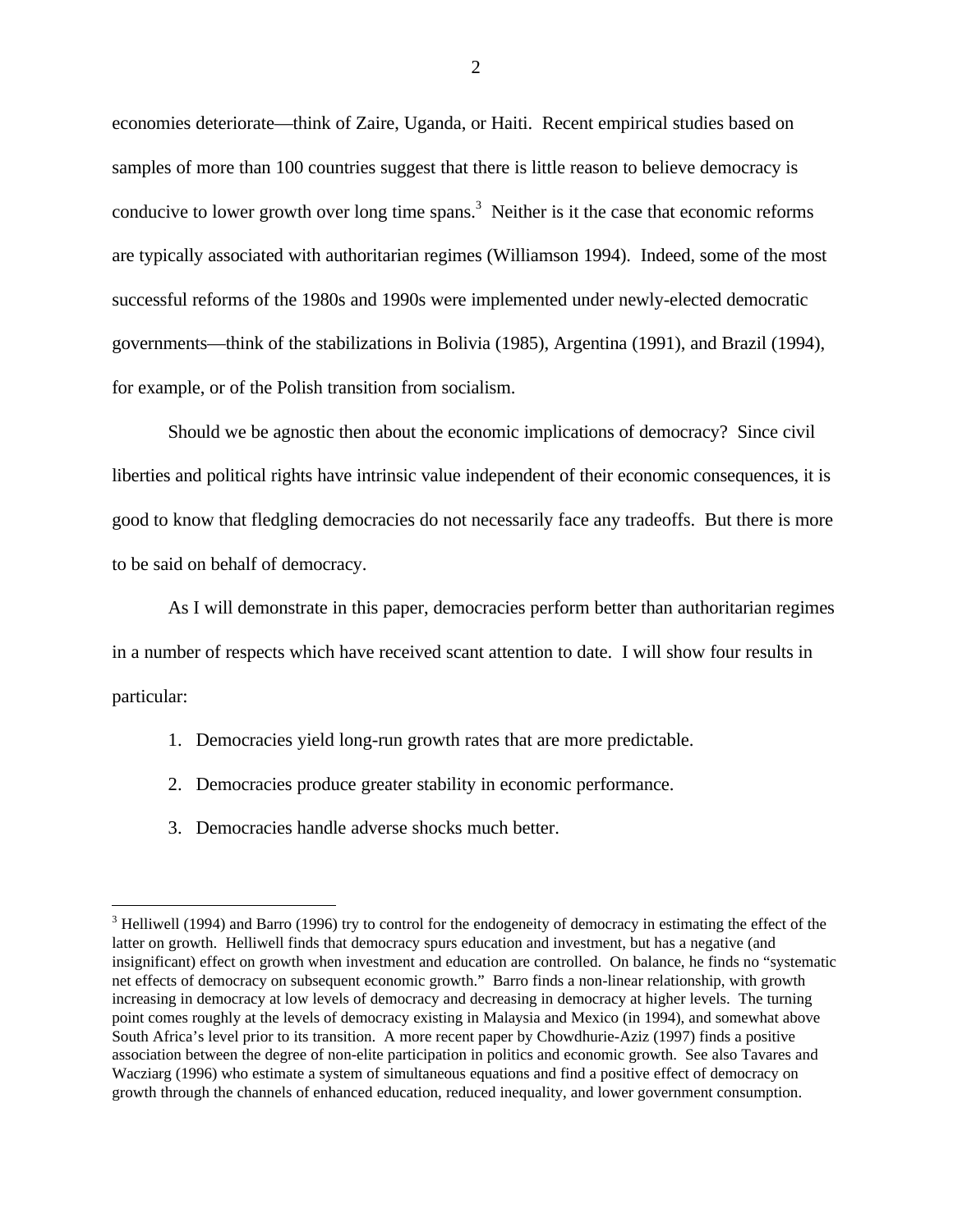economies deteriorate—think of Zaire, Uganda, or Haiti. Recent empirical studies based on samples of more than 100 countries suggest that there is little reason to believe democracy is conducive to lower growth over long time spans.<sup>3</sup> Neither is it the case that economic reforms are typically associated with authoritarian regimes (Williamson 1994). Indeed, some of the most successful reforms of the 1980s and 1990s were implemented under newly-elected democratic governments—think of the stabilizations in Bolivia (1985), Argentina (1991), and Brazil (1994), for example, or of the Polish transition from socialism.

Should we be agnostic then about the economic implications of democracy? Since civil liberties and political rights have intrinsic value independent of their economic consequences, it is good to know that fledgling democracies do not necessarily face any tradeoffs. But there is more to be said on behalf of democracy.

As I will demonstrate in this paper, democracies perform better than authoritarian regimes in a number of respects which have received scant attention to date. I will show four results in particular:

- 1. Democracies yield long-run growth rates that are more predictable.
- 2. Democracies produce greater stability in economic performance.
- 3. Democracies handle adverse shocks much better.

<u>.</u>

<sup>&</sup>lt;sup>3</sup> Helliwell (1994) and Barro (1996) try to control for the endogeneity of democracy in estimating the effect of the latter on growth. Helliwell finds that democracy spurs education and investment, but has a negative (and insignificant) effect on growth when investment and education are controlled. On balance, he finds no "systematic net effects of democracy on subsequent economic growth." Barro finds a non-linear relationship, with growth increasing in democracy at low levels of democracy and decreasing in democracy at higher levels. The turning point comes roughly at the levels of democracy existing in Malaysia and Mexico (in 1994), and somewhat above South Africa's level prior to its transition. A more recent paper by Chowdhurie-Aziz (1997) finds a positive association between the degree of non-elite participation in politics and economic growth. See also Tavares and Wacziarg (1996) who estimate a system of simultaneous equations and find a positive effect of democracy on growth through the channels of enhanced education, reduced inequality, and lower government consumption.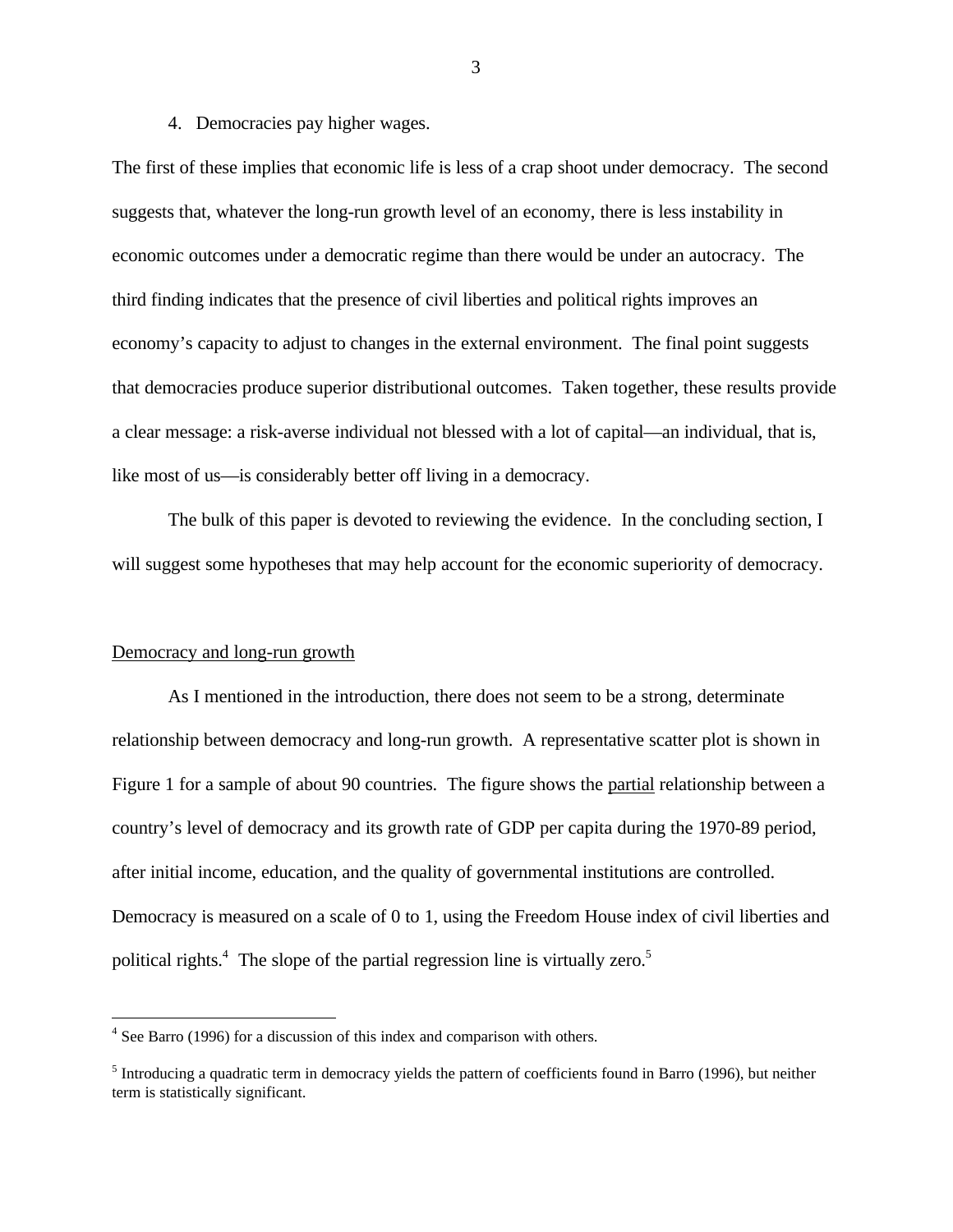### 4. Democracies pay higher wages.

The first of these implies that economic life is less of a crap shoot under democracy. The second suggests that, whatever the long-run growth level of an economy, there is less instability in economic outcomes under a democratic regime than there would be under an autocracy. The third finding indicates that the presence of civil liberties and political rights improves an economy's capacity to adjust to changes in the external environment. The final point suggests that democracies produce superior distributional outcomes. Taken together, these results provide a clear message: a risk-averse individual not blessed with a lot of capital—an individual, that is, like most of us—is considerably better off living in a democracy.

The bulk of this paper is devoted to reviewing the evidence. In the concluding section, I will suggest some hypotheses that may help account for the economic superiority of democracy.

### Democracy and long-run growth

 $\overline{a}$ 

As I mentioned in the introduction, there does not seem to be a strong, determinate relationship between democracy and long-run growth. A representative scatter plot is shown in Figure 1 for a sample of about 90 countries. The figure shows the partial relationship between a country's level of democracy and its growth rate of GDP per capita during the 1970-89 period, after initial income, education, and the quality of governmental institutions are controlled. Democracy is measured on a scale of 0 to 1, using the Freedom House index of civil liberties and political rights.<sup>4</sup> The slope of the partial regression line is virtually zero.<sup>5</sup>

<sup>&</sup>lt;sup>4</sup> See Barro (1996) for a discussion of this index and comparison with others.

<sup>&</sup>lt;sup>5</sup> Introducing a quadratic term in democracy yields the pattern of coefficients found in Barro (1996), but neither term is statistically significant.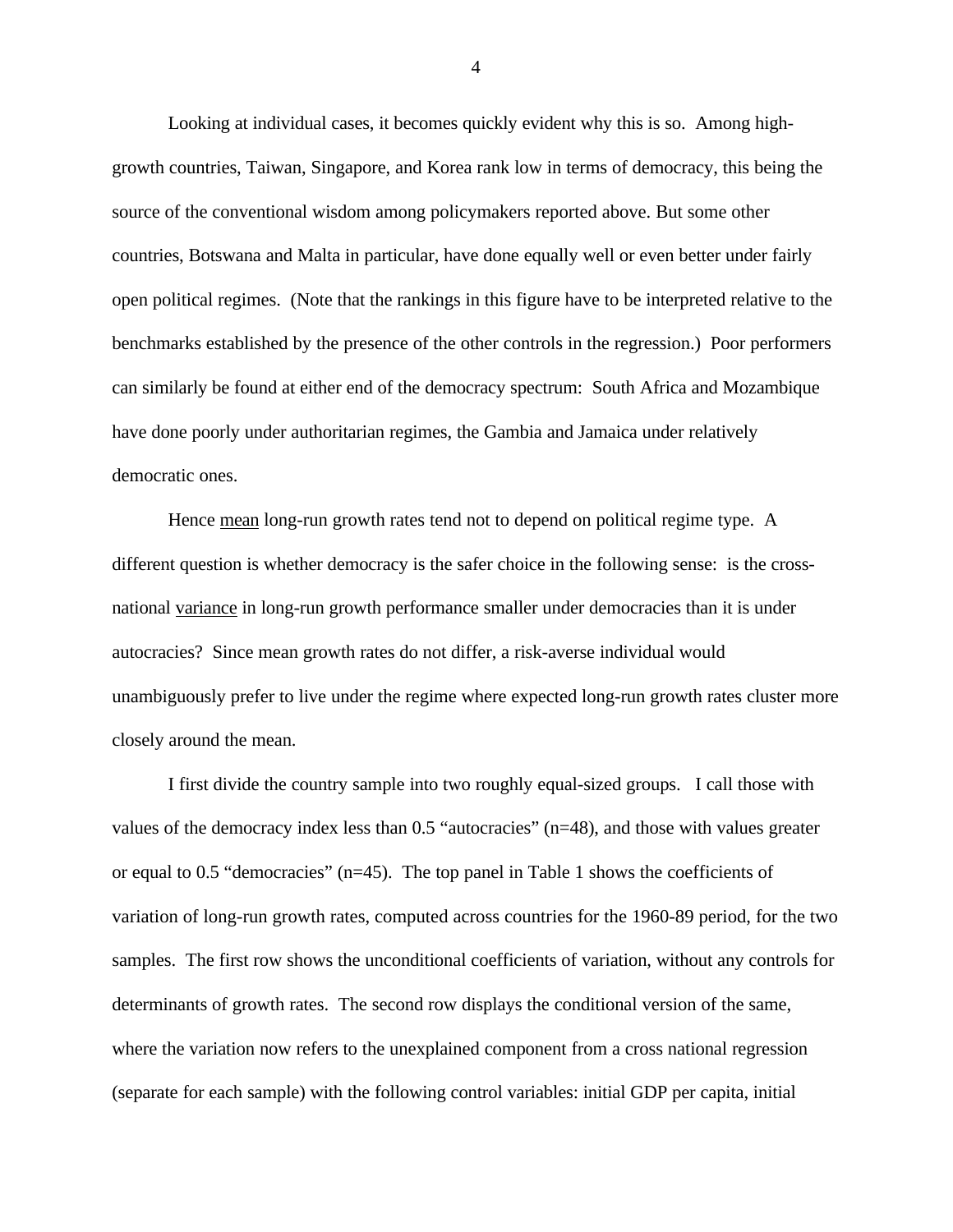Looking at individual cases, it becomes quickly evident why this is so. Among highgrowth countries, Taiwan, Singapore, and Korea rank low in terms of democracy, this being the source of the conventional wisdom among policymakers reported above. But some other countries, Botswana and Malta in particular, have done equally well or even better under fairly open political regimes. (Note that the rankings in this figure have to be interpreted relative to the benchmarks established by the presence of the other controls in the regression.) Poor performers can similarly be found at either end of the democracy spectrum: South Africa and Mozambique have done poorly under authoritarian regimes, the Gambia and Jamaica under relatively democratic ones.

Hence mean long-run growth rates tend not to depend on political regime type. A different question is whether democracy is the safer choice in the following sense: is the crossnational variance in long-run growth performance smaller under democracies than it is under autocracies? Since mean growth rates do not differ, a risk-averse individual would unambiguously prefer to live under the regime where expected long-run growth rates cluster more closely around the mean.

I first divide the country sample into two roughly equal-sized groups. I call those with values of the democracy index less than 0.5 "autocracies" (n=48), and those with values greater or equal to 0.5 "democracies" (n=45). The top panel in Table 1 shows the coefficients of variation of long-run growth rates, computed across countries for the 1960-89 period, for the two samples. The first row shows the unconditional coefficients of variation, without any controls for determinants of growth rates. The second row displays the conditional version of the same, where the variation now refers to the unexplained component from a cross national regression (separate for each sample) with the following control variables: initial GDP per capita, initial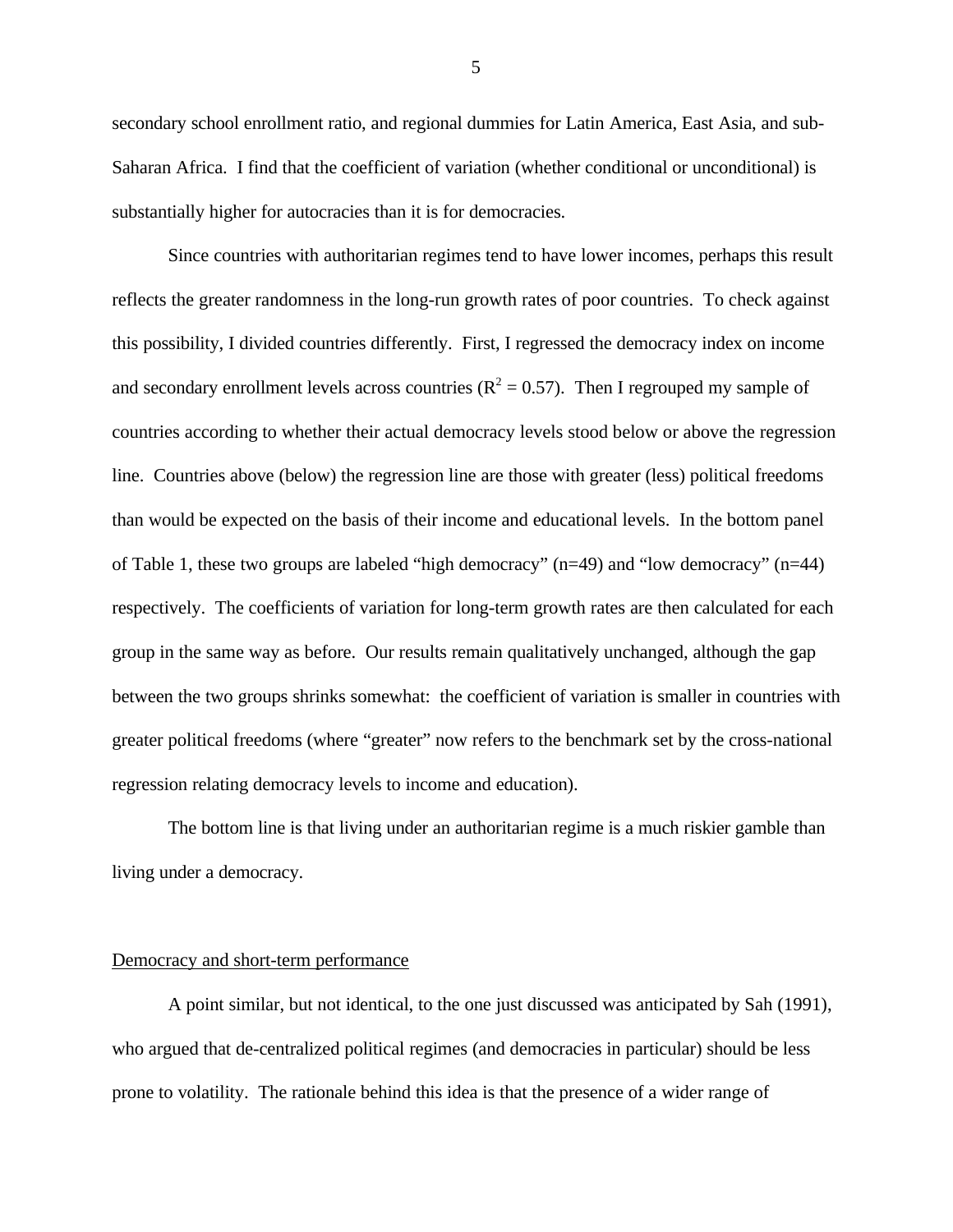secondary school enrollment ratio, and regional dummies for Latin America, East Asia, and sub-Saharan Africa. I find that the coefficient of variation (whether conditional or unconditional) is substantially higher for autocracies than it is for democracies.

Since countries with authoritarian regimes tend to have lower incomes, perhaps this result reflects the greater randomness in the long-run growth rates of poor countries. To check against this possibility, I divided countries differently. First, I regressed the democracy index on income and secondary enrollment levels across countries ( $R^2 = 0.57$ ). Then I regrouped my sample of countries according to whether their actual democracy levels stood below or above the regression line. Countries above (below) the regression line are those with greater (less) political freedoms than would be expected on the basis of their income and educational levels. In the bottom panel of Table 1, these two groups are labeled "high democracy" (n=49) and "low democracy" (n=44) respectively. The coefficients of variation for long-term growth rates are then calculated for each group in the same way as before. Our results remain qualitatively unchanged, although the gap between the two groups shrinks somewhat: the coefficient of variation is smaller in countries with greater political freedoms (where "greater" now refers to the benchmark set by the cross-national regression relating democracy levels to income and education).

The bottom line is that living under an authoritarian regime is a much riskier gamble than living under a democracy.

## Democracy and short-term performance

A point similar, but not identical, to the one just discussed was anticipated by Sah (1991), who argued that de-centralized political regimes (and democracies in particular) should be less prone to volatility. The rationale behind this idea is that the presence of a wider range of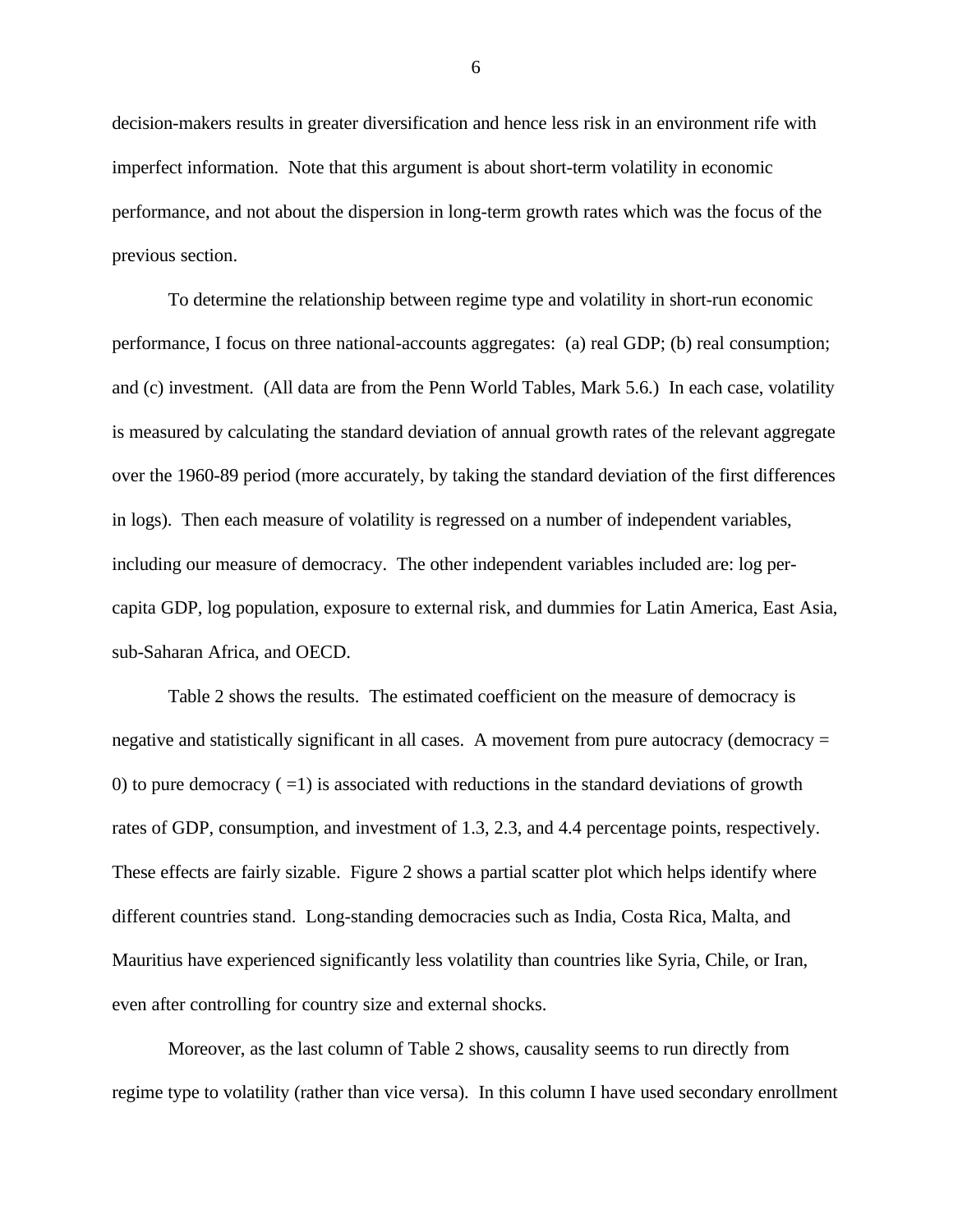decision-makers results in greater diversification and hence less risk in an environment rife with imperfect information. Note that this argument is about short-term volatility in economic performance, and not about the dispersion in long-term growth rates which was the focus of the previous section.

To determine the relationship between regime type and volatility in short-run economic performance, I focus on three national-accounts aggregates: (a) real GDP; (b) real consumption; and (c) investment. (All data are from the Penn World Tables, Mark 5.6.) In each case, volatility is measured by calculating the standard deviation of annual growth rates of the relevant aggregate over the 1960-89 period (more accurately, by taking the standard deviation of the first differences in logs). Then each measure of volatility is regressed on a number of independent variables, including our measure of democracy. The other independent variables included are: log percapita GDP, log population, exposure to external risk, and dummies for Latin America, East Asia, sub-Saharan Africa, and OECD.

Table 2 shows the results. The estimated coefficient on the measure of democracy is negative and statistically significant in all cases. A movement from pure autocracy (democracy = 0) to pure democracy  $( =1)$  is associated with reductions in the standard deviations of growth rates of GDP, consumption, and investment of 1.3, 2.3, and 4.4 percentage points, respectively. These effects are fairly sizable. Figure 2 shows a partial scatter plot which helps identify where different countries stand. Long-standing democracies such as India, Costa Rica, Malta, and Mauritius have experienced significantly less volatility than countries like Syria, Chile, or Iran, even after controlling for country size and external shocks.

Moreover, as the last column of Table 2 shows, causality seems to run directly from regime type to volatility (rather than vice versa). In this column I have used secondary enrollment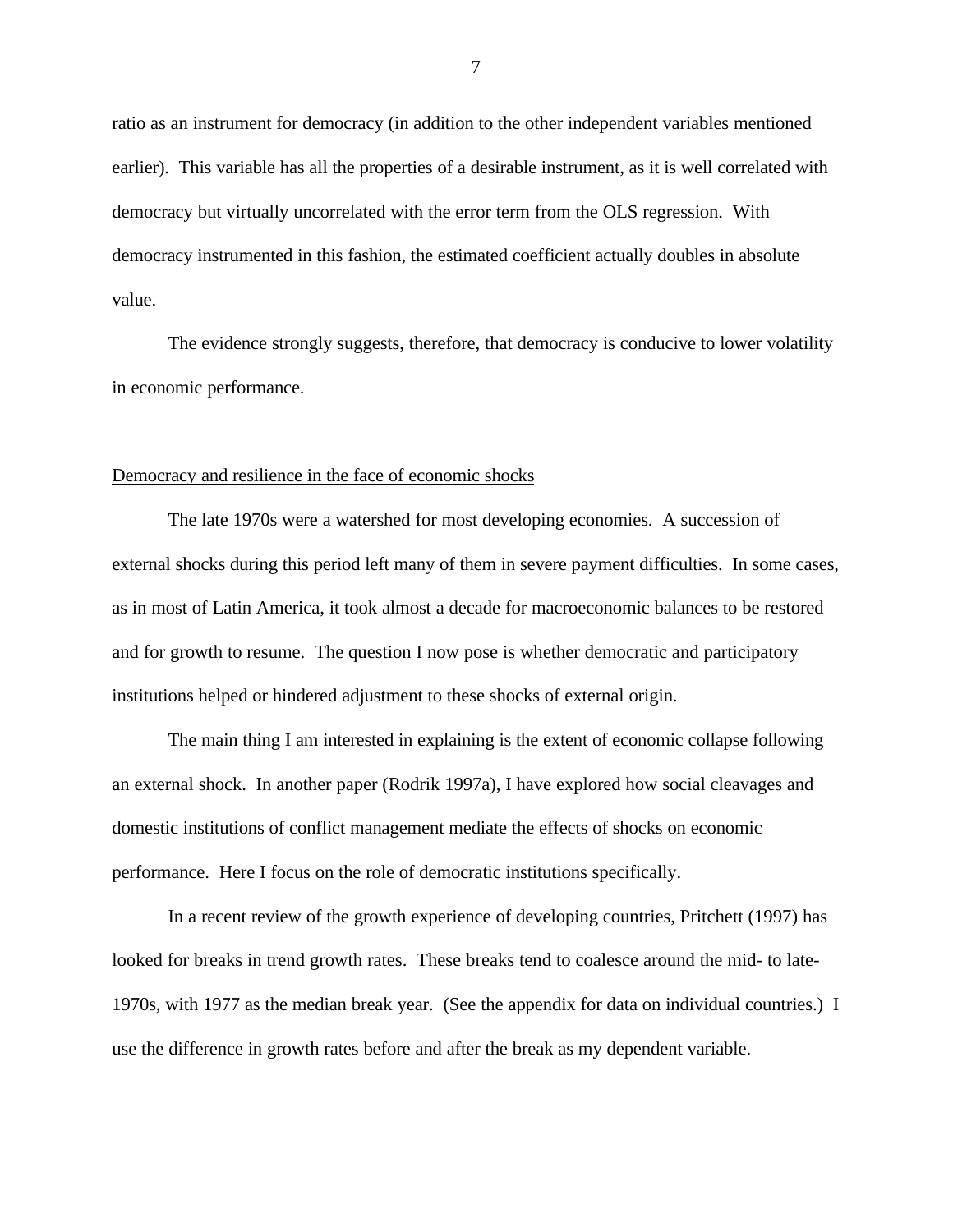ratio as an instrument for democracy (in addition to the other independent variables mentioned earlier). This variable has all the properties of a desirable instrument, as it is well correlated with democracy but virtually uncorrelated with the error term from the OLS regression. With democracy instrumented in this fashion, the estimated coefficient actually doubles in absolute value.

The evidence strongly suggests, therefore, that democracy is conducive to lower volatility in economic performance.

#### Democracy and resilience in the face of economic shocks

The late 1970s were a watershed for most developing economies. A succession of external shocks during this period left many of them in severe payment difficulties. In some cases, as in most of Latin America, it took almost a decade for macroeconomic balances to be restored and for growth to resume. The question I now pose is whether democratic and participatory institutions helped or hindered adjustment to these shocks of external origin.

The main thing I am interested in explaining is the extent of economic collapse following an external shock. In another paper (Rodrik 1997a), I have explored how social cleavages and domestic institutions of conflict management mediate the effects of shocks on economic performance. Here I focus on the role of democratic institutions specifically.

In a recent review of the growth experience of developing countries, Pritchett (1997) has looked for breaks in trend growth rates. These breaks tend to coalesce around the mid- to late-1970s, with 1977 as the median break year. (See the appendix for data on individual countries.) I use the difference in growth rates before and after the break as my dependent variable.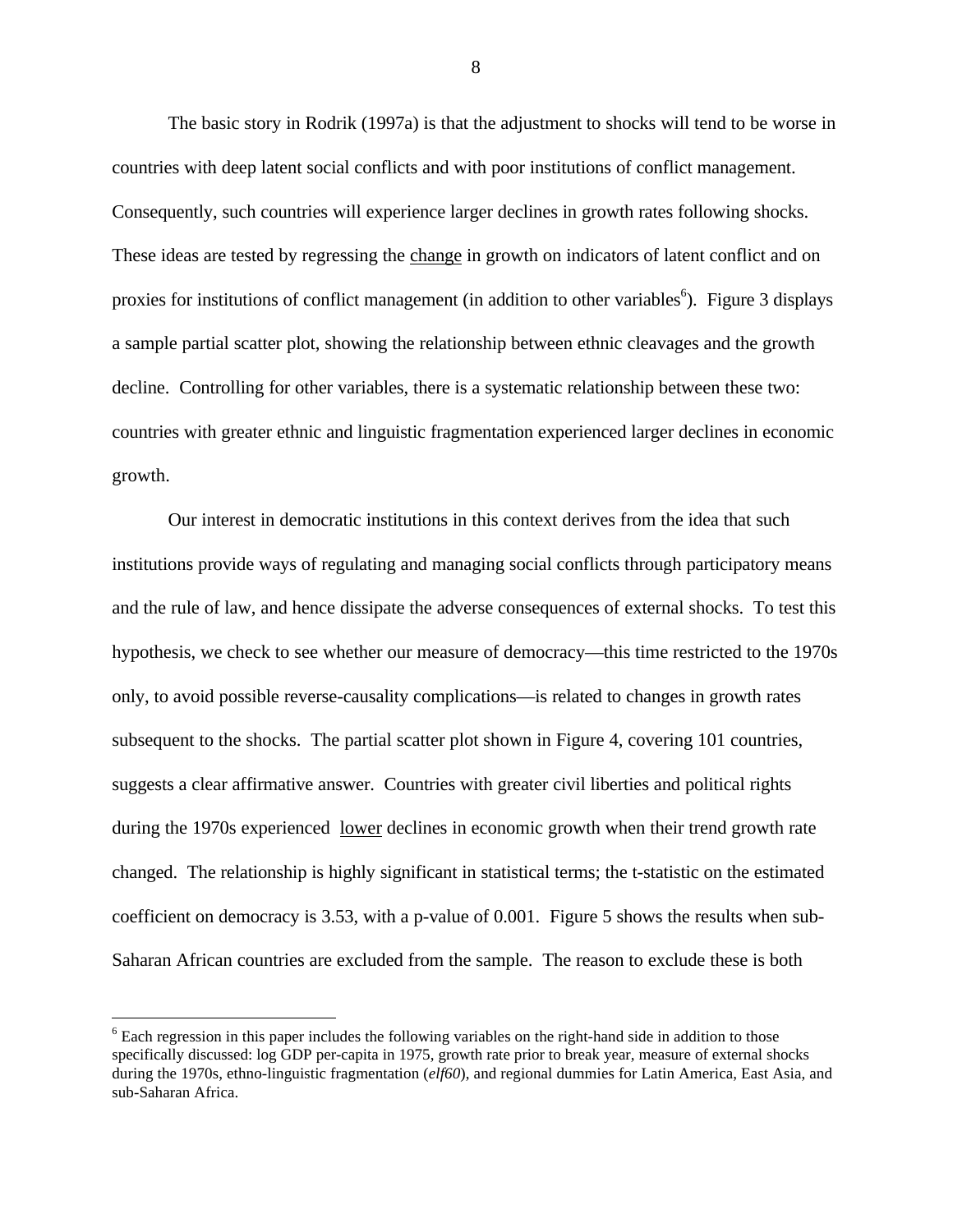The basic story in Rodrik (1997a) is that the adjustment to shocks will tend to be worse in countries with deep latent social conflicts and with poor institutions of conflict management. Consequently, such countries will experience larger declines in growth rates following shocks. These ideas are tested by regressing the change in growth on indicators of latent conflict and on proxies for institutions of conflict management (in addition to other variables<sup>6</sup>). Figure 3 displays a sample partial scatter plot, showing the relationship between ethnic cleavages and the growth decline. Controlling for other variables, there is a systematic relationship between these two: countries with greater ethnic and linguistic fragmentation experienced larger declines in economic growth.

Our interest in democratic institutions in this context derives from the idea that such institutions provide ways of regulating and managing social conflicts through participatory means and the rule of law, and hence dissipate the adverse consequences of external shocks. To test this hypothesis, we check to see whether our measure of democracy—this time restricted to the 1970s only, to avoid possible reverse-causality complications—is related to changes in growth rates subsequent to the shocks. The partial scatter plot shown in Figure 4, covering 101 countries, suggests a clear affirmative answer. Countries with greater civil liberties and political rights during the 1970s experienced <u>lower</u> declines in economic growth when their trend growth rate changed. The relationship is highly significant in statistical terms; the t-statistic on the estimated coefficient on democracy is 3.53, with a p-value of 0.001. Figure 5 shows the results when sub-Saharan African countries are excluded from the sample. The reason to exclude these is both

 $\overline{a}$ 

<sup>&</sup>lt;sup>6</sup> Each regression in this paper includes the following variables on the right-hand side in addition to those specifically discussed: log GDP per-capita in 1975, growth rate prior to break year, measure of external shocks during the 1970s, ethno-linguistic fragmentation (*elf60*), and regional dummies for Latin America, East Asia, and sub-Saharan Africa.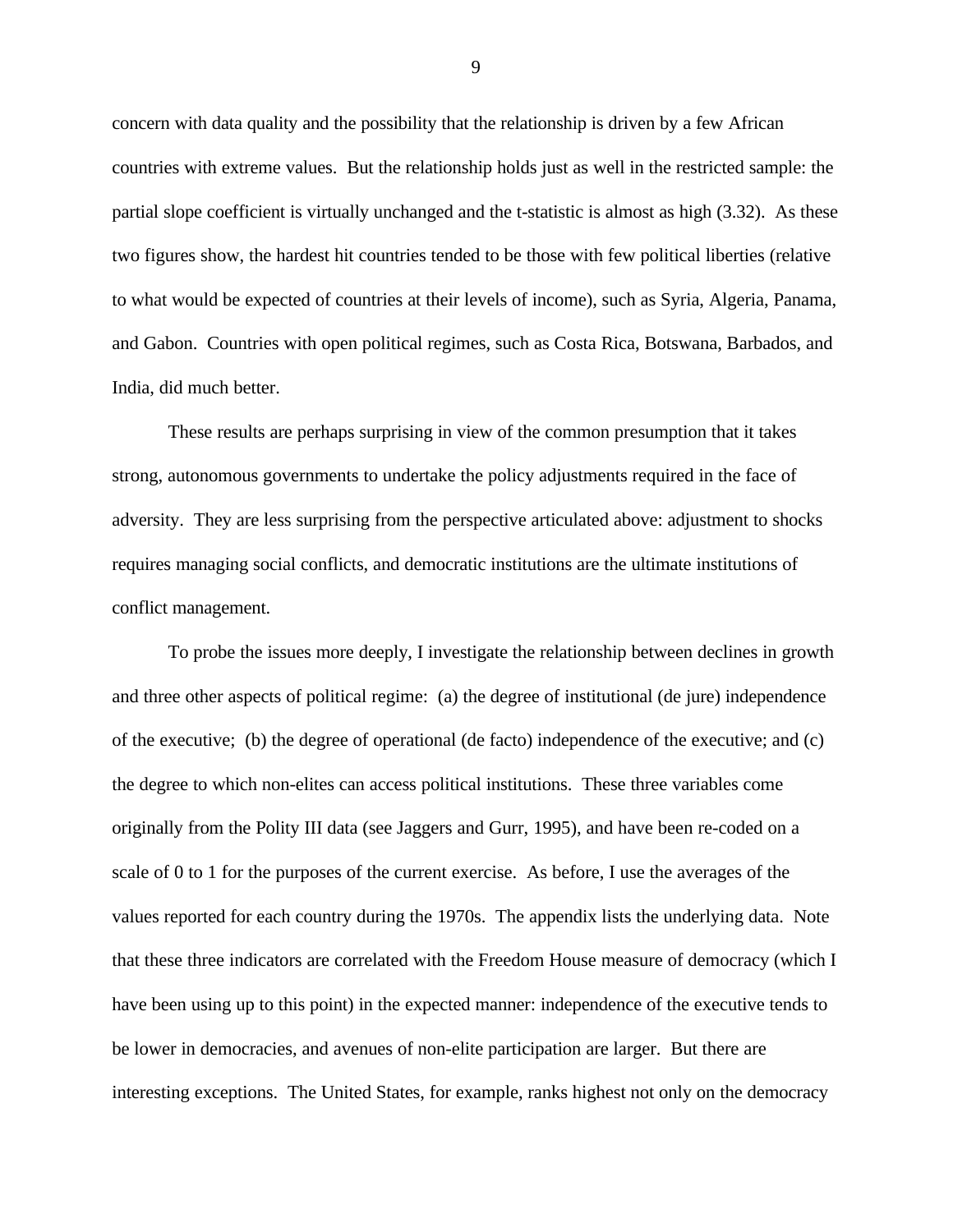concern with data quality and the possibility that the relationship is driven by a few African countries with extreme values. But the relationship holds just as well in the restricted sample: the partial slope coefficient is virtually unchanged and the t-statistic is almost as high (3.32). As these two figures show, the hardest hit countries tended to be those with few political liberties (relative to what would be expected of countries at their levels of income), such as Syria, Algeria, Panama, and Gabon. Countries with open political regimes, such as Costa Rica, Botswana, Barbados, and India, did much better.

These results are perhaps surprising in view of the common presumption that it takes strong, autonomous governments to undertake the policy adjustments required in the face of adversity. They are less surprising from the perspective articulated above: adjustment to shocks requires managing social conflicts, and democratic institutions are the ultimate institutions of conflict management.

To probe the issues more deeply, I investigate the relationship between declines in growth and three other aspects of political regime: (a) the degree of institutional (de jure) independence of the executive; (b) the degree of operational (de facto) independence of the executive; and (c) the degree to which non-elites can access political institutions. These three variables come originally from the Polity III data (see Jaggers and Gurr, 1995), and have been re-coded on a scale of 0 to 1 for the purposes of the current exercise. As before, I use the averages of the values reported for each country during the 1970s. The appendix lists the underlying data. Note that these three indicators are correlated with the Freedom House measure of democracy (which I have been using up to this point) in the expected manner: independence of the executive tends to be lower in democracies, and avenues of non-elite participation are larger. But there are interesting exceptions. The United States, for example, ranks highest not only on the democracy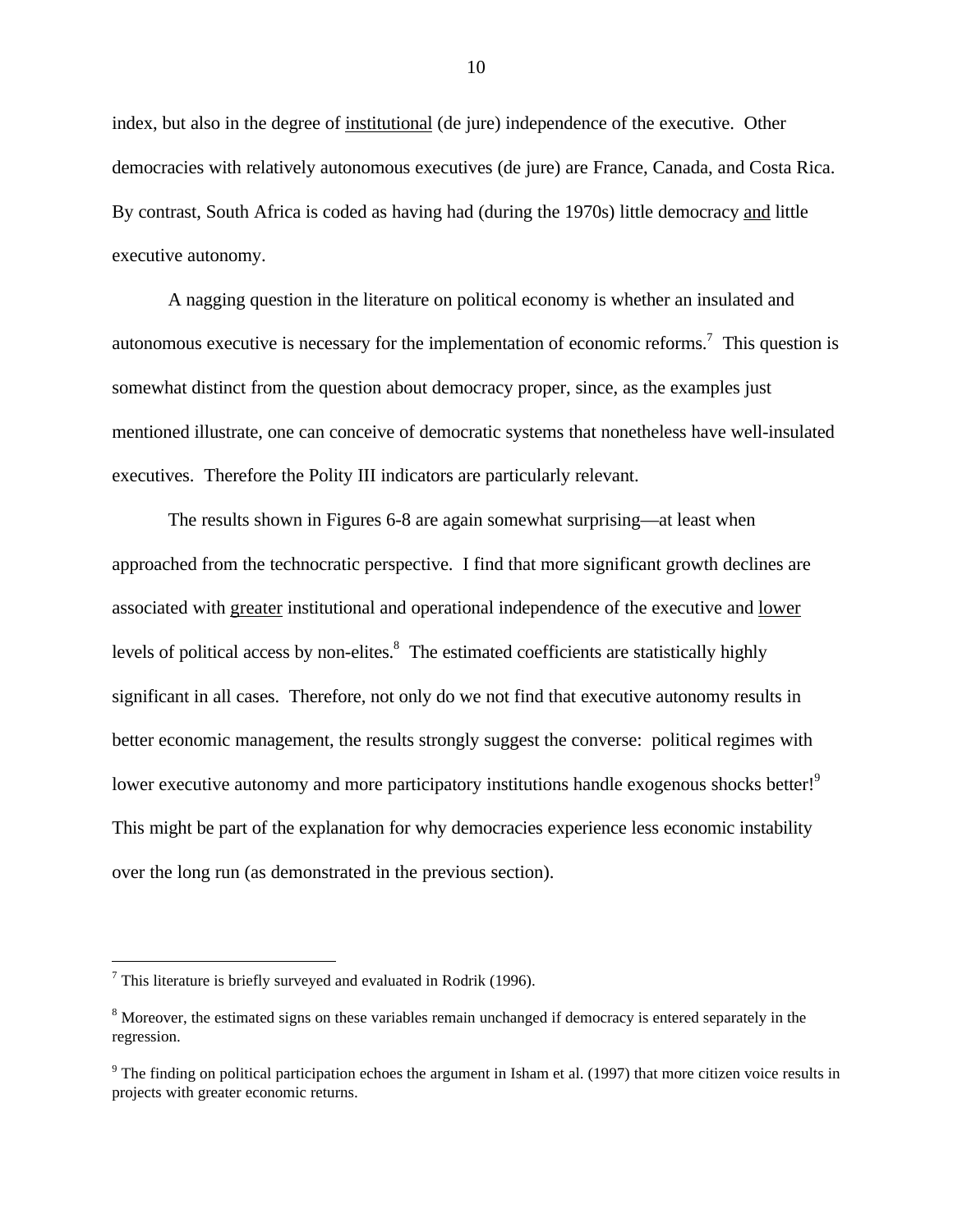index, but also in the degree of institutional (de jure) independence of the executive. Other democracies with relatively autonomous executives (de jure) are France, Canada, and Costa Rica. By contrast, South Africa is coded as having had (during the 1970s) little democracy and little executive autonomy.

A nagging question in the literature on political economy is whether an insulated and autonomous executive is necessary for the implementation of economic reforms.<sup>7</sup> This question is somewhat distinct from the question about democracy proper, since, as the examples just mentioned illustrate, one can conceive of democratic systems that nonetheless have well-insulated executives. Therefore the Polity III indicators are particularly relevant.

The results shown in Figures 6-8 are again somewhat surprising—at least when approached from the technocratic perspective. I find that more significant growth declines are associated with greater institutional and operational independence of the executive and lower levels of political access by non-elites.<sup>8</sup> The estimated coefficients are statistically highly significant in all cases. Therefore, not only do we not find that executive autonomy results in better economic management, the results strongly suggest the converse: political regimes with lower executive autonomy and more participatory institutions handle exogenous shocks better!<sup>9</sup> This might be part of the explanation for why democracies experience less economic instability over the long run (as demonstrated in the previous section).

 $7$  This literature is briefly surveyed and evaluated in Rodrik (1996).

<sup>&</sup>lt;sup>8</sup> Moreover, the estimated signs on these variables remain unchanged if democracy is entered separately in the regression.

 $9<sup>9</sup>$  The finding on political participation echoes the argument in Isham et al. (1997) that more citizen voice results in projects with greater economic returns.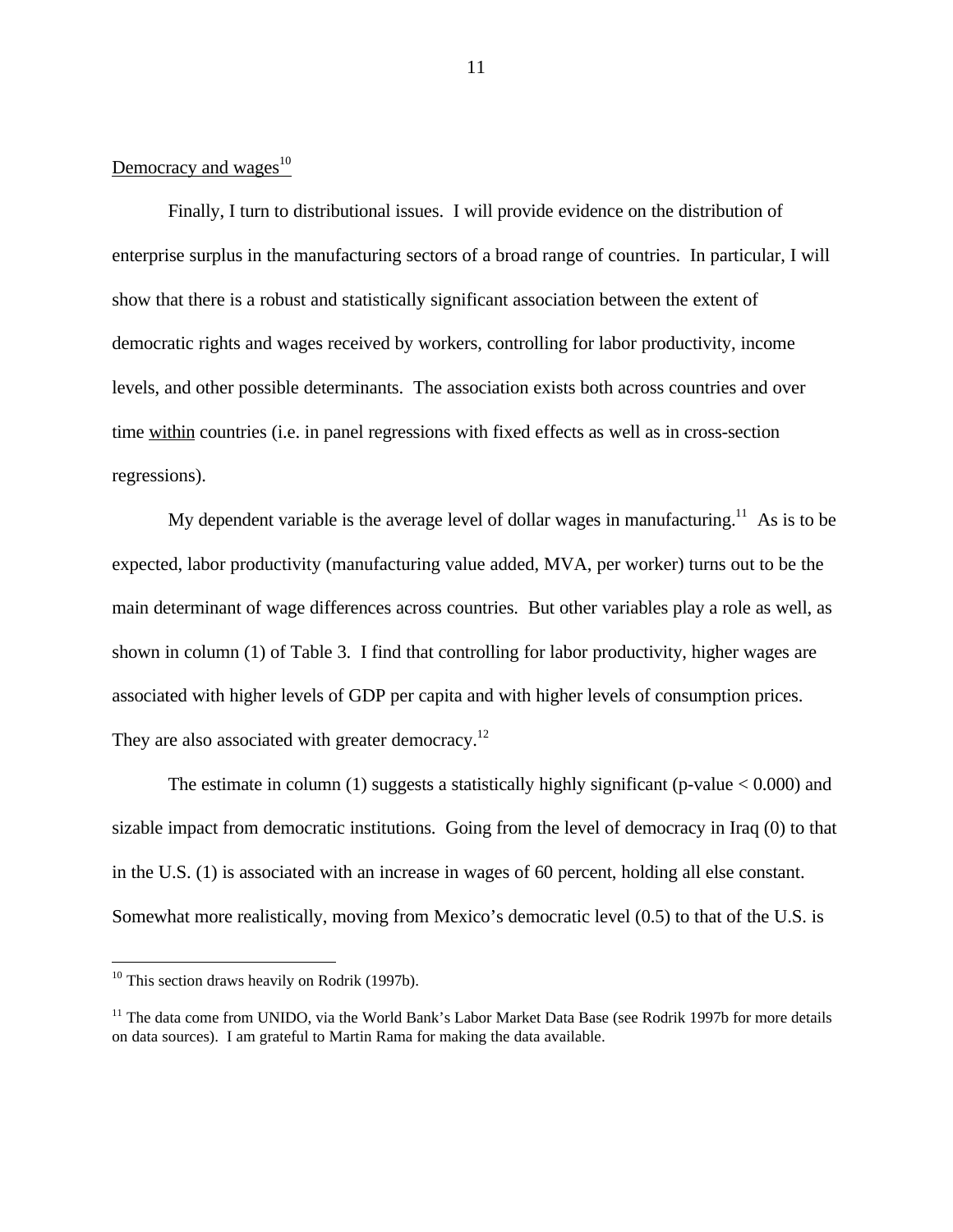## Democracy and wages $^{10}$

Finally, I turn to distributional issues. I will provide evidence on the distribution of enterprise surplus in the manufacturing sectors of a broad range of countries. In particular, I will show that there is a robust and statistically significant association between the extent of democratic rights and wages received by workers, controlling for labor productivity, income levels, and other possible determinants. The association exists both across countries and over time within countries (i.e. in panel regressions with fixed effects as well as in cross-section regressions).

My dependent variable is the average level of dollar wages in manufacturing.<sup>11</sup> As is to be expected, labor productivity (manufacturing value added, MVA, per worker) turns out to be the main determinant of wage differences across countries. But other variables play a role as well, as shown in column (1) of Table 3. I find that controlling for labor productivity, higher wages are associated with higher levels of GDP per capita and with higher levels of consumption prices. They are also associated with greater democracy.<sup>12</sup>

The estimate in column (1) suggests a statistically highly significant (p-value  $< 0.000$ ) and sizable impact from democratic institutions. Going from the level of democracy in Iraq (0) to that in the U.S. (1) is associated with an increase in wages of 60 percent, holding all else constant. Somewhat more realistically, moving from Mexico's democratic level (0.5) to that of the U.S. is

 $\overline{a}$ 

 $10$  This section draws heavily on Rodrik (1997b).

<sup>&</sup>lt;sup>11</sup> The data come from UNIDO, via the World Bank's Labor Market Data Base (see Rodrik 1997b for more details on data sources). I am grateful to Martin Rama for making the data available.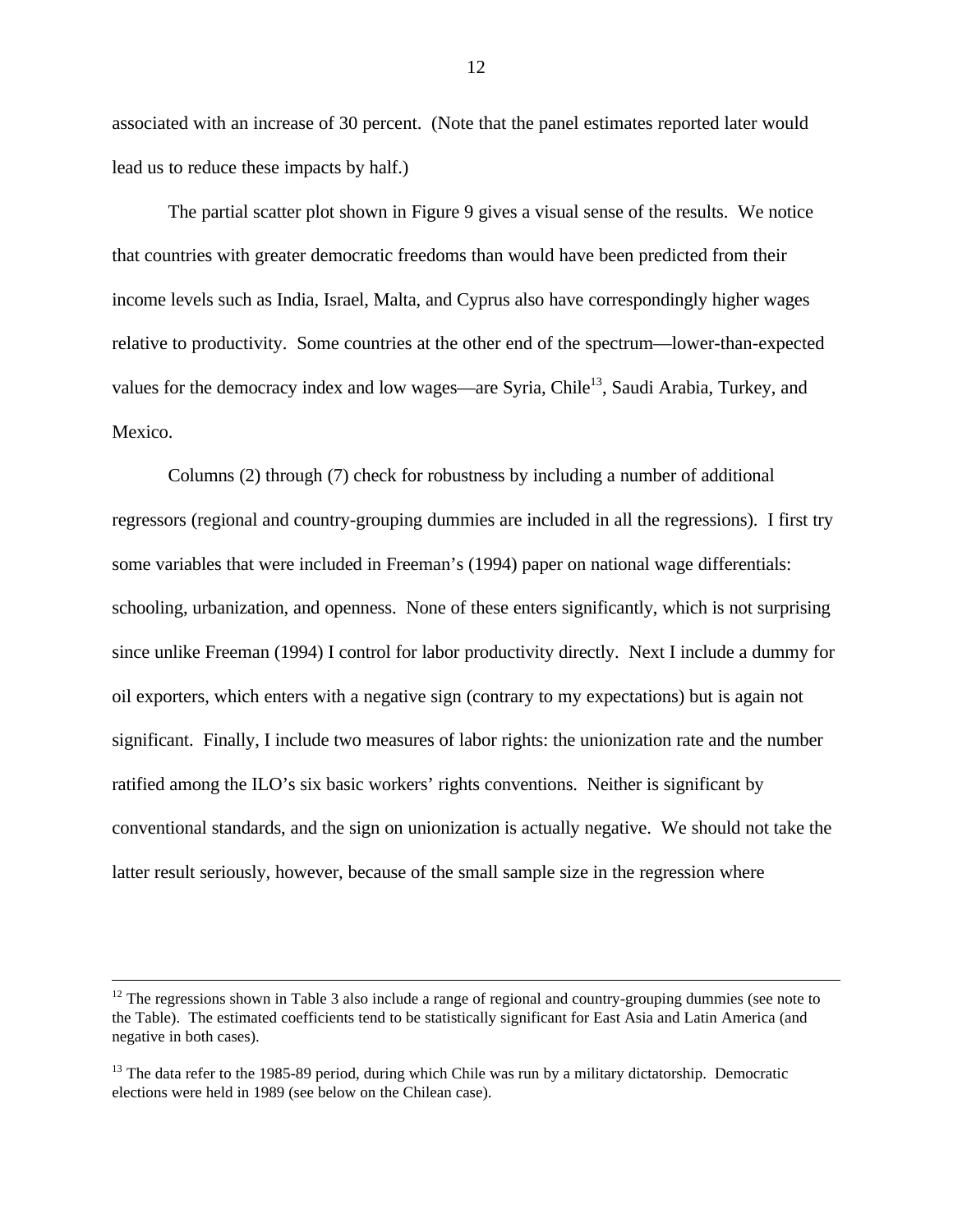associated with an increase of 30 percent. (Note that the panel estimates reported later would lead us to reduce these impacts by half.)

The partial scatter plot shown in Figure 9 gives a visual sense of the results. We notice that countries with greater democratic freedoms than would have been predicted from their income levels such as India, Israel, Malta, and Cyprus also have correspondingly higher wages relative to productivity. Some countries at the other end of the spectrum—lower-than-expected values for the democracy index and low wages—are Syria, Chile<sup>13</sup>, Saudi Arabia, Turkey, and Mexico.

Columns (2) through (7) check for robustness by including a number of additional regressors (regional and country-grouping dummies are included in all the regressions). I first try some variables that were included in Freeman's (1994) paper on national wage differentials: schooling, urbanization, and openness. None of these enters significantly, which is not surprising since unlike Freeman (1994) I control for labor productivity directly. Next I include a dummy for oil exporters, which enters with a negative sign (contrary to my expectations) but is again not significant. Finally, I include two measures of labor rights: the unionization rate and the number ratified among the ILO's six basic workers' rights conventions. Neither is significant by conventional standards, and the sign on unionization is actually negative. We should not take the latter result seriously, however, because of the small sample size in the regression where

 $12$  The regressions shown in Table 3 also include a range of regional and country-grouping dummies (see note to the Table). The estimated coefficients tend to be statistically significant for East Asia and Latin America (and negative in both cases).

<sup>&</sup>lt;sup>13</sup> The data refer to the 1985-89 period, during which Chile was run by a military dictatorship. Democratic elections were held in 1989 (see below on the Chilean case).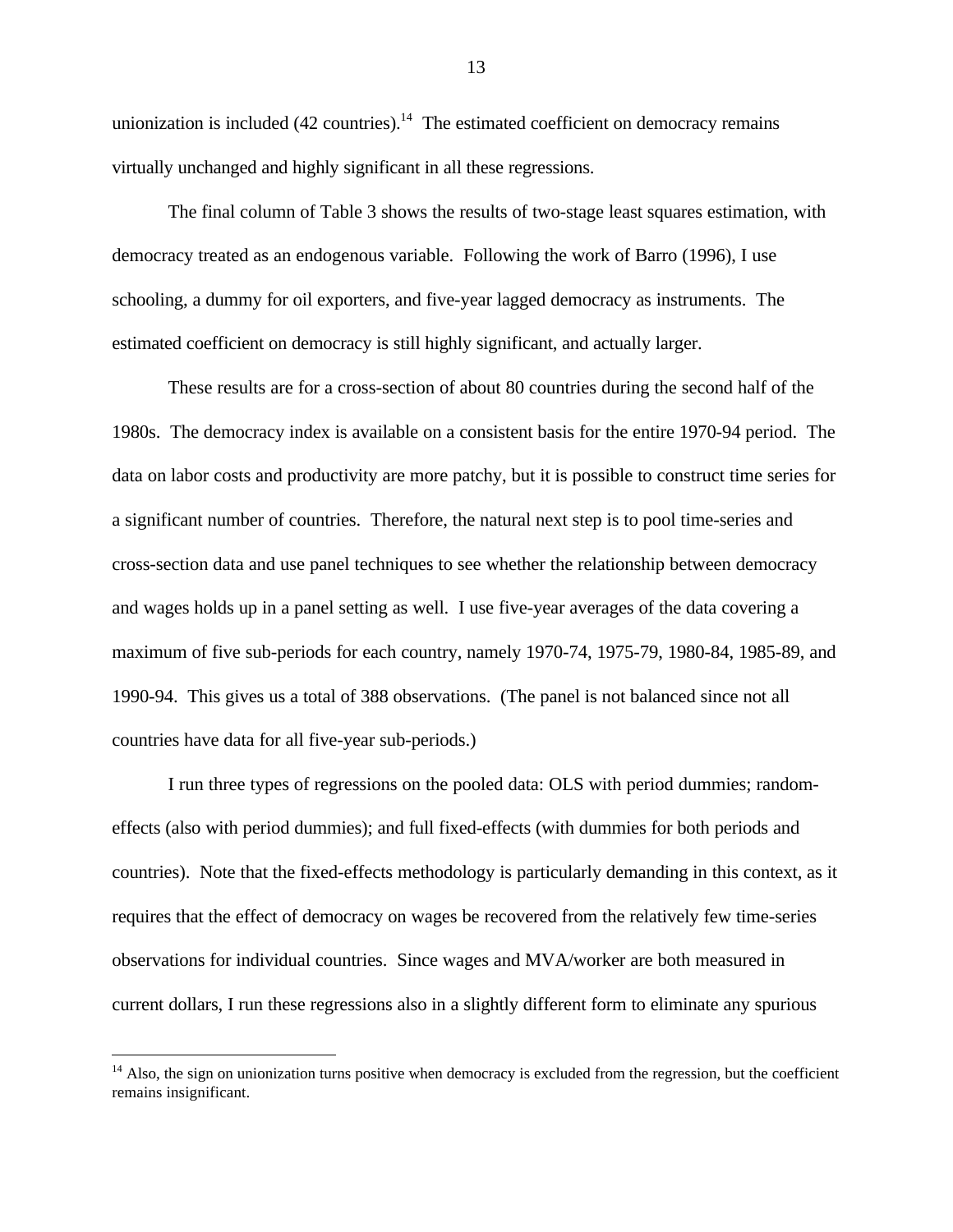unionization is included  $(42 \text{ countries})$ .<sup>14</sup> The estimated coefficient on democracy remains virtually unchanged and highly significant in all these regressions.

The final column of Table 3 shows the results of two-stage least squares estimation, with democracy treated as an endogenous variable. Following the work of Barro (1996), I use schooling, a dummy for oil exporters, and five-year lagged democracy as instruments. The estimated coefficient on democracy is still highly significant, and actually larger.

These results are for a cross-section of about 80 countries during the second half of the 1980s. The democracy index is available on a consistent basis for the entire 1970-94 period. The data on labor costs and productivity are more patchy, but it is possible to construct time series for a significant number of countries. Therefore, the natural next step is to pool time-series and cross-section data and use panel techniques to see whether the relationship between democracy and wages holds up in a panel setting as well. I use five-year averages of the data covering a maximum of five sub-periods for each country, namely 1970-74, 1975-79, 1980-84, 1985-89, and 1990-94. This gives us a total of 388 observations. (The panel is not balanced since not all countries have data for all five-year sub-periods.)

I run three types of regressions on the pooled data: OLS with period dummies; randomeffects (also with period dummies); and full fixed-effects (with dummies for both periods and countries). Note that the fixed-effects methodology is particularly demanding in this context, as it requires that the effect of democracy on wages be recovered from the relatively few time-series observations for individual countries. Since wages and MVA/worker are both measured in current dollars, I run these regressions also in a slightly different form to eliminate any spurious

 $<sup>14</sup>$  Also, the sign on unionization turns positive when democracy is excluded from the regression, but the coefficient</sup> remains insignificant.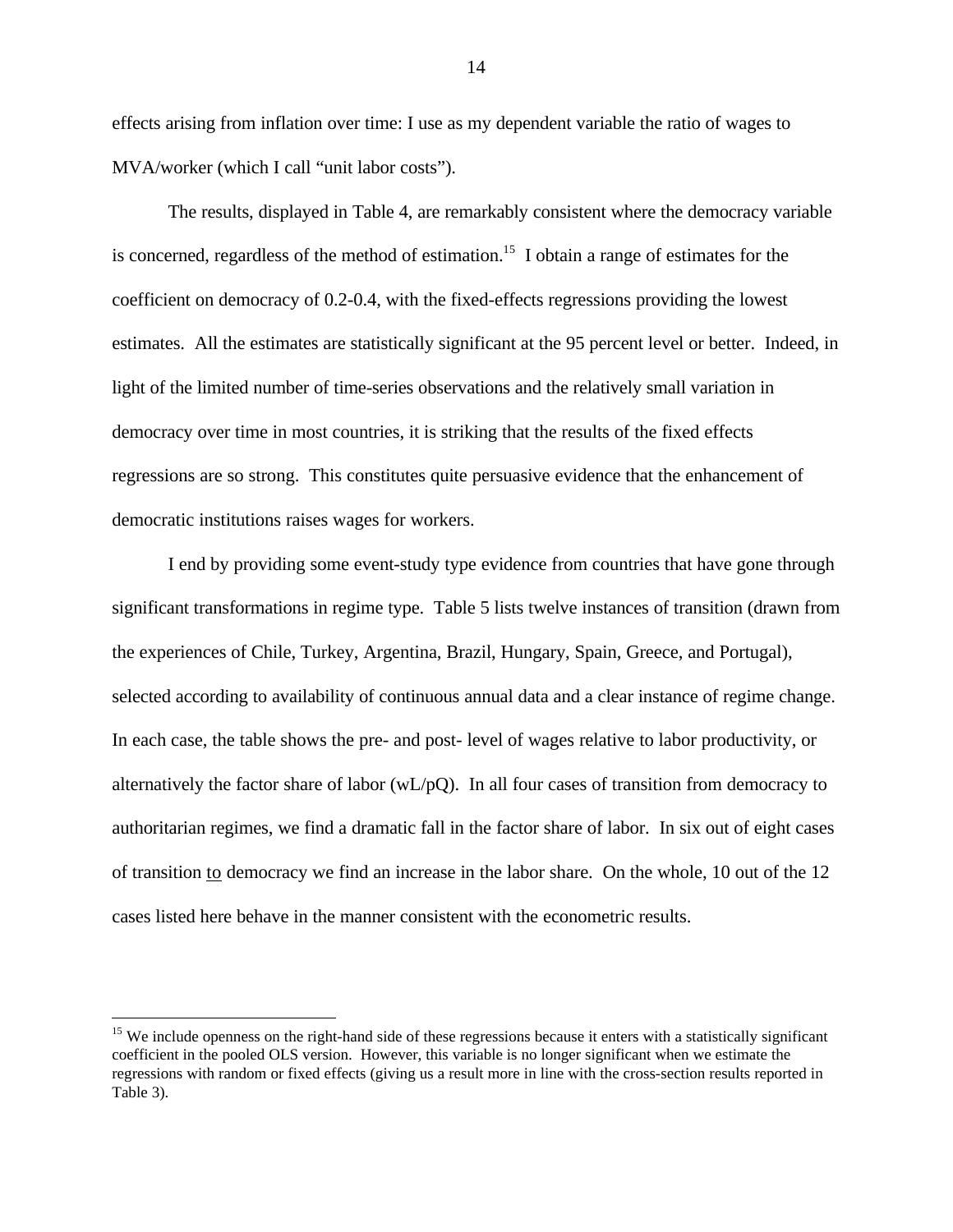effects arising from inflation over time: I use as my dependent variable the ratio of wages to MVA/worker (which I call "unit labor costs").

The results, displayed in Table 4, are remarkably consistent where the democracy variable is concerned, regardless of the method of estimation.<sup>15</sup> I obtain a range of estimates for the coefficient on democracy of 0.2-0.4, with the fixed-effects regressions providing the lowest estimates. All the estimates are statistically significant at the 95 percent level or better. Indeed, in light of the limited number of time-series observations and the relatively small variation in democracy over time in most countries, it is striking that the results of the fixed effects regressions are so strong. This constitutes quite persuasive evidence that the enhancement of democratic institutions raises wages for workers.

I end by providing some event-study type evidence from countries that have gone through significant transformations in regime type. Table 5 lists twelve instances of transition (drawn from the experiences of Chile, Turkey, Argentina, Brazil, Hungary, Spain, Greece, and Portugal), selected according to availability of continuous annual data and a clear instance of regime change. In each case, the table shows the pre- and post- level of wages relative to labor productivity, or alternatively the factor share of labor (wL/pQ). In all four cases of transition from democracy to authoritarian regimes, we find a dramatic fall in the factor share of labor. In six out of eight cases of transition to democracy we find an increase in the labor share. On the whole, 10 out of the 12 cases listed here behave in the manner consistent with the econometric results.

<sup>&</sup>lt;sup>15</sup> We include openness on the right-hand side of these regressions because it enters with a statistically significant coefficient in the pooled OLS version. However, this variable is no longer significant when we estimate the regressions with random or fixed effects (giving us a result more in line with the cross-section results reported in Table 3).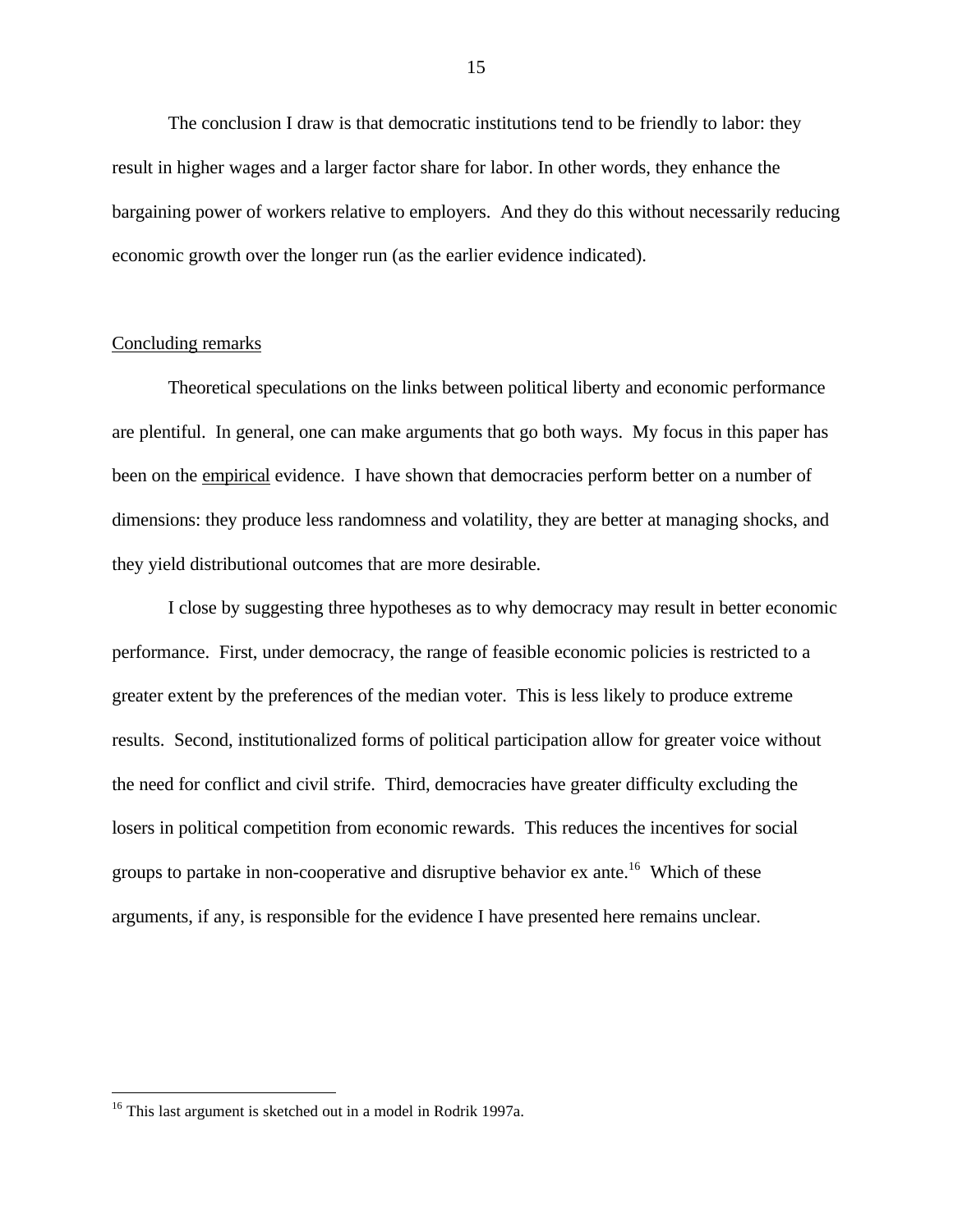The conclusion I draw is that democratic institutions tend to be friendly to labor: they result in higher wages and a larger factor share for labor. In other words, they enhance the bargaining power of workers relative to employers. And they do this without necessarily reducing economic growth over the longer run (as the earlier evidence indicated).

### Concluding remarks

Theoretical speculations on the links between political liberty and economic performance are plentiful. In general, one can make arguments that go both ways. My focus in this paper has been on the empirical evidence. I have shown that democracies perform better on a number of dimensions: they produce less randomness and volatility, they are better at managing shocks, and they yield distributional outcomes that are more desirable.

I close by suggesting three hypotheses as to why democracy may result in better economic performance. First, under democracy, the range of feasible economic policies is restricted to a greater extent by the preferences of the median voter. This is less likely to produce extreme results. Second, institutionalized forms of political participation allow for greater voice without the need for conflict and civil strife. Third, democracies have greater difficulty excluding the losers in political competition from economic rewards. This reduces the incentives for social groups to partake in non-cooperative and disruptive behavior  $ex$  ante.<sup>16</sup> Which of these arguments, if any, is responsible for the evidence I have presented here remains unclear.

<u>.</u>

 $16$  This last argument is sketched out in a model in Rodrik 1997a.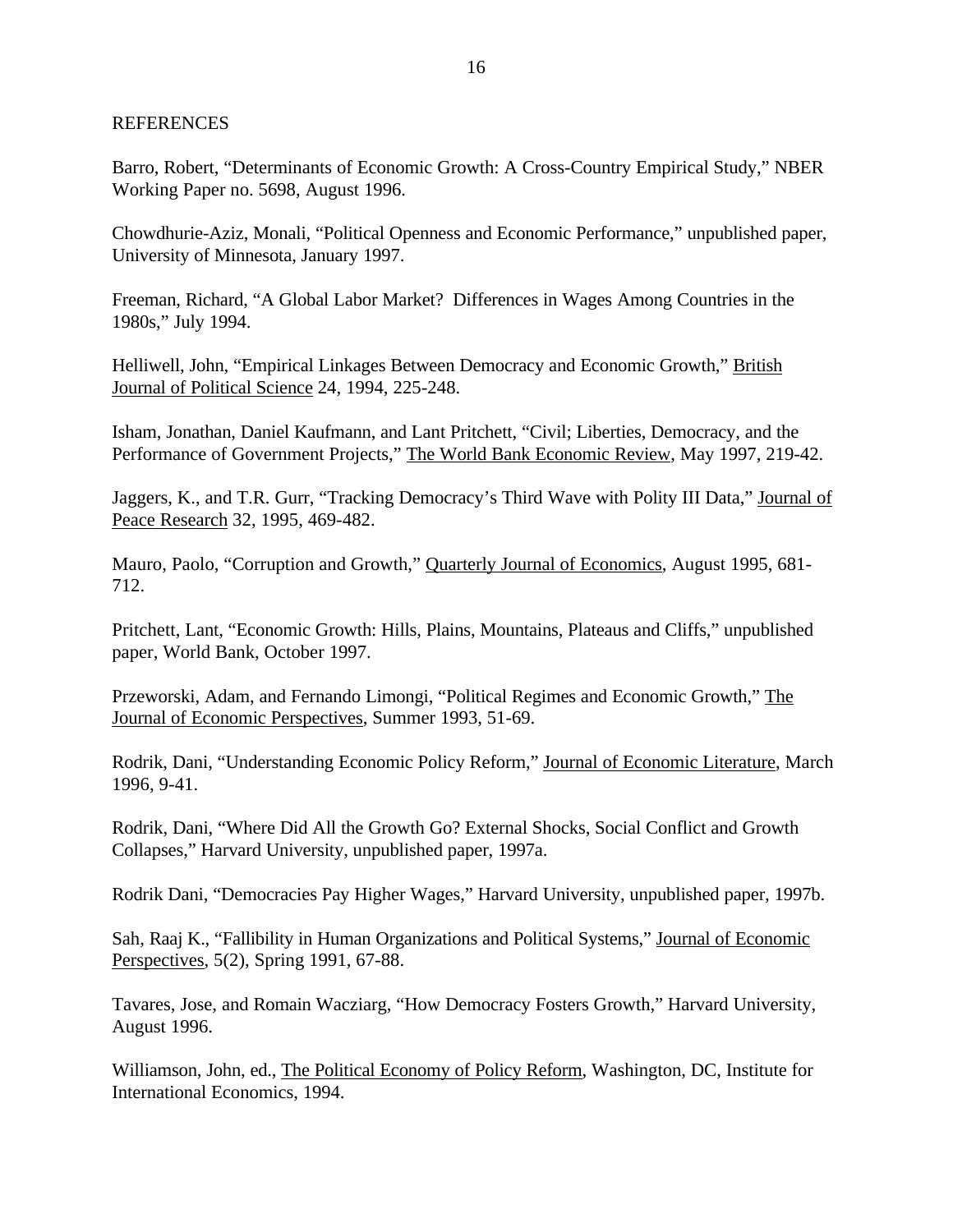## REFERENCES

Barro, Robert, "Determinants of Economic Growth: A Cross-Country Empirical Study," NBER Working Paper no. 5698, August 1996.

Chowdhurie-Aziz, Monali, "Political Openness and Economic Performance," unpublished paper, University of Minnesota, January 1997.

Freeman, Richard, "A Global Labor Market? Differences in Wages Among Countries in the 1980s," July 1994.

Helliwell, John, "Empirical Linkages Between Democracy and Economic Growth," British Journal of Political Science 24, 1994, 225-248.

Isham, Jonathan, Daniel Kaufmann, and Lant Pritchett, "Civil; Liberties, Democracy, and the Performance of Government Projects," The World Bank Economic Review, May 1997, 219-42.

Jaggers, K., and T.R. Gurr, "Tracking Democracy's Third Wave with Polity III Data," Journal of Peace Research 32, 1995, 469-482.

Mauro, Paolo, "Corruption and Growth," Quarterly Journal of Economics, August 1995, 681- 712.

Pritchett, Lant, "Economic Growth: Hills, Plains, Mountains, Plateaus and Cliffs," unpublished paper, World Bank, October 1997.

Przeworski, Adam, and Fernando Limongi, "Political Regimes and Economic Growth," The Journal of Economic Perspectives, Summer 1993, 51-69.

Rodrik, Dani, "Understanding Economic Policy Reform," Journal of Economic Literature, March 1996, 9-41.

Rodrik, Dani, "Where Did All the Growth Go? External Shocks, Social Conflict and Growth Collapses," Harvard University, unpublished paper, 1997a.

Rodrik Dani, "Democracies Pay Higher Wages," Harvard University, unpublished paper, 1997b.

Sah, Raaj K., "Fallibility in Human Organizations and Political Systems," Journal of Economic Perspectives, 5(2), Spring 1991, 67-88.

Tavares, Jose, and Romain Wacziarg, "How Democracy Fosters Growth," Harvard University, August 1996.

Williamson, John, ed., The Political Economy of Policy Reform, Washington, DC, Institute for International Economics, 1994.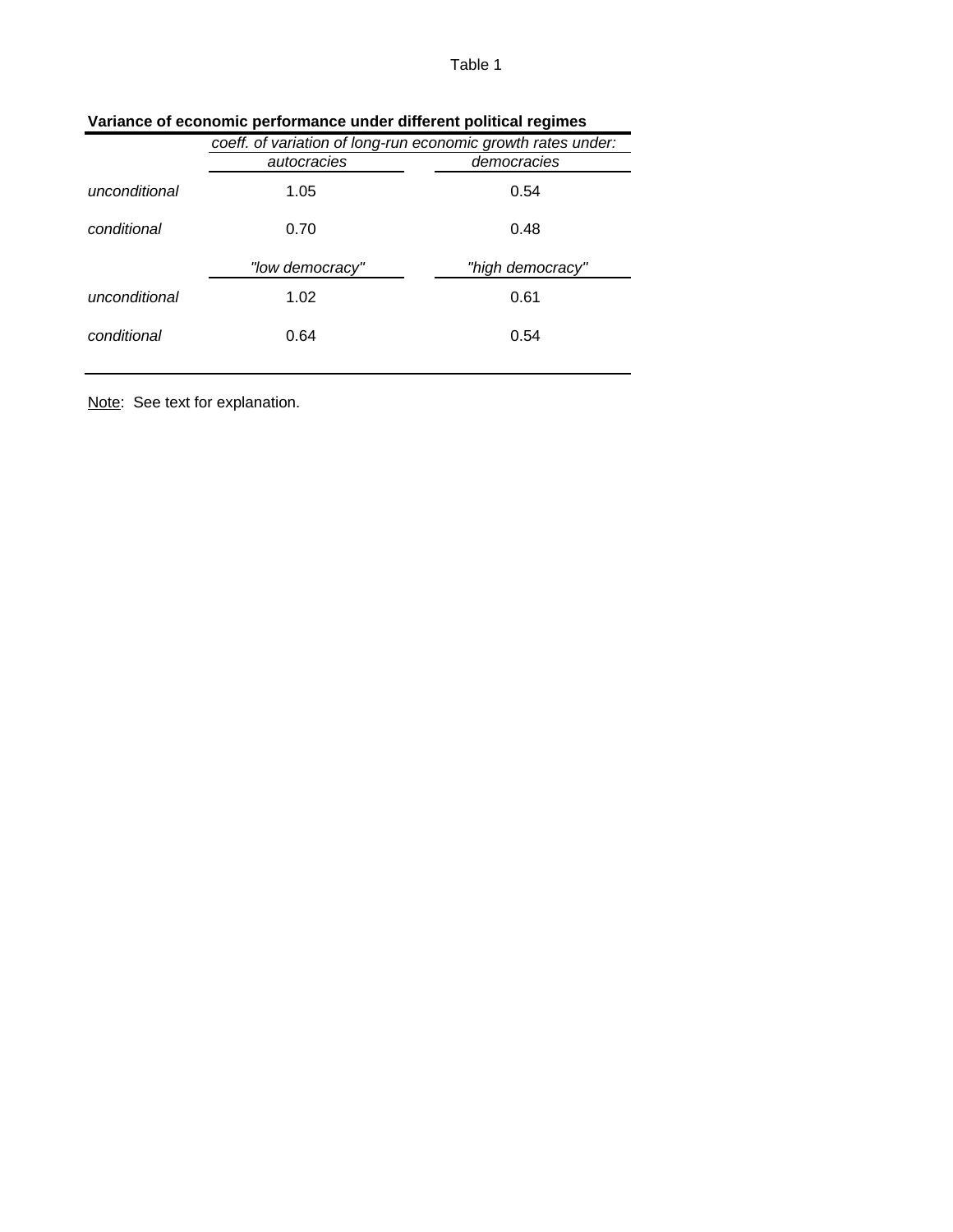|               | coeff. of variation of long-run economic growth rates under: |                  |  |  |  |  |  |  |  |
|---------------|--------------------------------------------------------------|------------------|--|--|--|--|--|--|--|
|               | autocracies                                                  | democracies      |  |  |  |  |  |  |  |
| unconditional | 1.05                                                         | 0.54             |  |  |  |  |  |  |  |
| conditional   | 0.70                                                         | 0.48             |  |  |  |  |  |  |  |
|               |                                                              |                  |  |  |  |  |  |  |  |
|               | "low democracy"                                              | "high democracy" |  |  |  |  |  |  |  |
| unconditional | 1.02                                                         | 0.61             |  |  |  |  |  |  |  |
| conditional   | 0.64                                                         | 0.54             |  |  |  |  |  |  |  |

|  | Variance of economic performance under different political regimes |  |  |  |  |
|--|--------------------------------------------------------------------|--|--|--|--|
|--|--------------------------------------------------------------------|--|--|--|--|

Note: See text for explanation.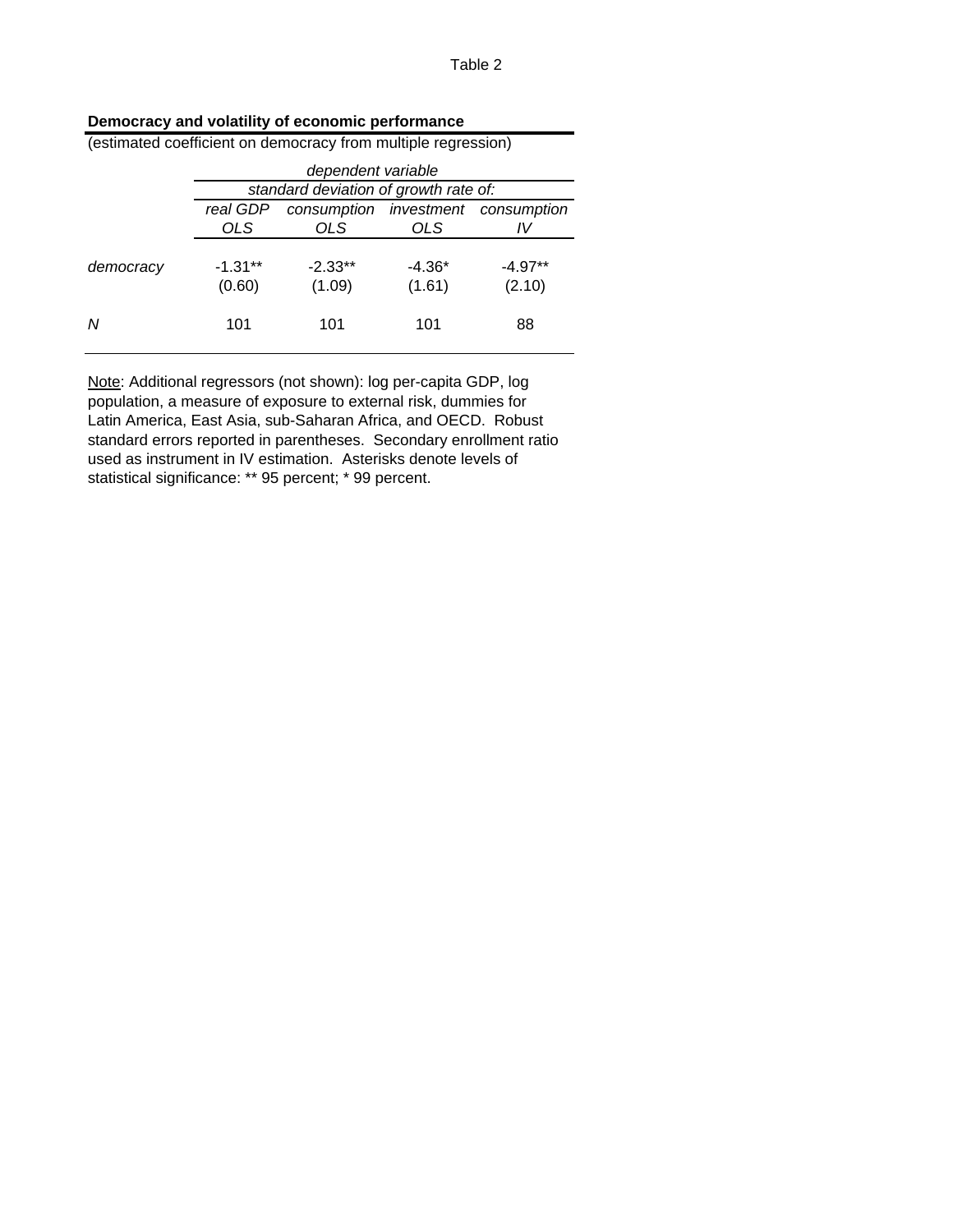| (estimated coefficient on democracy from multiple regression) |                    |                                       |          |             |  |  |  |  |  |  |  |
|---------------------------------------------------------------|--------------------|---------------------------------------|----------|-------------|--|--|--|--|--|--|--|
|                                                               | dependent variable |                                       |          |             |  |  |  |  |  |  |  |
|                                                               |                    | standard deviation of growth rate of: |          |             |  |  |  |  |  |  |  |
|                                                               | real GDP           | consumption investment                |          | consumption |  |  |  |  |  |  |  |
|                                                               | OLS                | OLS                                   | OLS      | IV          |  |  |  |  |  |  |  |
|                                                               |                    |                                       |          |             |  |  |  |  |  |  |  |
| democracy                                                     | $-1.31**$          | $-2.33**$                             | $-4.36*$ | $-4.97**$   |  |  |  |  |  |  |  |
|                                                               | (0.60)             | (1.09)                                | (1.61)   | (2.10)      |  |  |  |  |  |  |  |
|                                                               |                    |                                       |          |             |  |  |  |  |  |  |  |
| N                                                             | 101                | 101                                   | 101      | 88          |  |  |  |  |  |  |  |
|                                                               |                    |                                       |          |             |  |  |  |  |  |  |  |

Note: Additional regressors (not shown): log per-capita GDP, log population, a measure of exposure to external risk, dummies for Latin America, East Asia, sub-Saharan Africa, and OECD. Robust standard errors reported in parentheses. Secondary enrollment ratio used as instrument in IV estimation. Asterisks denote levels of statistical significance: \*\* 95 percent; \* 99 percent.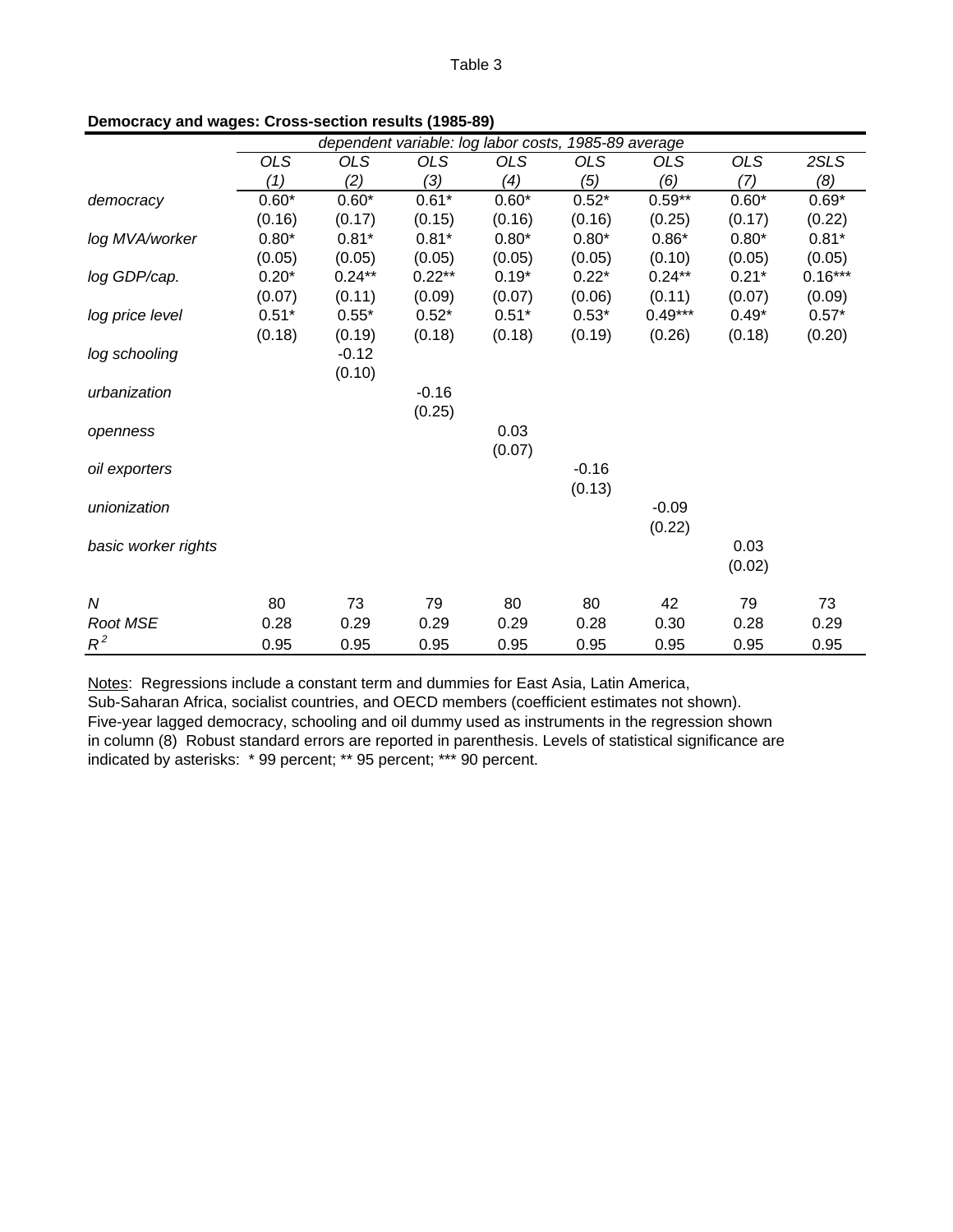|                     | dependent variable: log labor costs, 1985-89 average |            |            |            |            |            |         |           |  |
|---------------------|------------------------------------------------------|------------|------------|------------|------------|------------|---------|-----------|--|
|                     | <b>OLS</b>                                           | <b>OLS</b> | <b>OLS</b> | <b>OLS</b> | <b>OLS</b> | <b>OLS</b> | OLS     | 2SLS      |  |
|                     | (1)                                                  | (2)        | (3)        | (4)        | (5)        | (6)        | (7)     | (8)       |  |
| democracy           | $0.60*$                                              | $0.60*$    | $0.61*$    | $0.60*$    | $0.52*$    | $0.59**$   | $0.60*$ | $0.69*$   |  |
|                     | (0.16)                                               | (0.17)     | (0.15)     | (0.16)     | (0.16)     | (0.25)     | (0.17)  | (0.22)    |  |
| log MVA/worker      | $0.80*$                                              | $0.81*$    | $0.81*$    | $0.80*$    | $0.80*$    | $0.86*$    | $0.80*$ | $0.81*$   |  |
|                     | (0.05)                                               | (0.05)     | (0.05)     | (0.05)     | (0.05)     | (0.10)     | (0.05)  | (0.05)    |  |
| log GDP/cap.        | $0.20*$                                              | $0.24***$  | $0.22***$  | $0.19*$    | $0.22*$    | $0.24***$  | $0.21*$ | $0.16***$ |  |
|                     | (0.07)                                               | (0.11)     | (0.09)     | (0.07)     | (0.06)     | (0.11)     | (0.07)  | (0.09)    |  |
| log price level     | $0.51*$                                              | $0.55*$    | $0.52*$    | $0.51*$    | $0.53*$    | $0.49***$  | $0.49*$ | $0.57*$   |  |
|                     | (0.18)                                               | (0.19)     | (0.18)     | (0.18)     | (0.19)     | (0.26)     | (0.18)  | (0.20)    |  |
| log schooling       |                                                      | $-0.12$    |            |            |            |            |         |           |  |
|                     |                                                      | (0.10)     |            |            |            |            |         |           |  |
| urbanization        |                                                      |            | $-0.16$    |            |            |            |         |           |  |
|                     |                                                      |            | (0.25)     |            |            |            |         |           |  |
| openness            |                                                      |            |            | 0.03       |            |            |         |           |  |
|                     |                                                      |            |            | (0.07)     |            |            |         |           |  |
| oil exporters       |                                                      |            |            |            | $-0.16$    |            |         |           |  |
|                     |                                                      |            |            |            | (0.13)     |            |         |           |  |
| unionization        |                                                      |            |            |            |            | $-0.09$    |         |           |  |
|                     |                                                      |            |            |            |            | (0.22)     |         |           |  |
| basic worker rights |                                                      |            |            |            |            |            | 0.03    |           |  |
|                     |                                                      |            |            |            |            |            | (0.02)  |           |  |
| N                   | 80                                                   | 73         | 79         | 80         | 80         | 42         | 79      | 73        |  |
| Root MSE            | 0.28                                                 | 0.29       | 0.29       | 0.29       | 0.28       | 0.30       | 0.28    | 0.29      |  |
| $R^2$               | 0.95                                                 | 0.95       | 0.95       | 0.95       | 0.95       | 0.95       | 0.95    | 0.95      |  |

**Democracy and wages: Cross-section results (1985-89)**

Notes: Regressions include a constant term and dummies for East Asia, Latin America,

Sub-Saharan Africa, socialist countries, and OECD members (coefficient estimates not shown). Five-year lagged democracy, schooling and oil dummy used as instruments in the regression shown in column (8) Robust standard errors are reported in parenthesis. Levels of statistical significance are indicated by asterisks: \* 99 percent; \*\* 95 percent; \*\*\* 90 percent.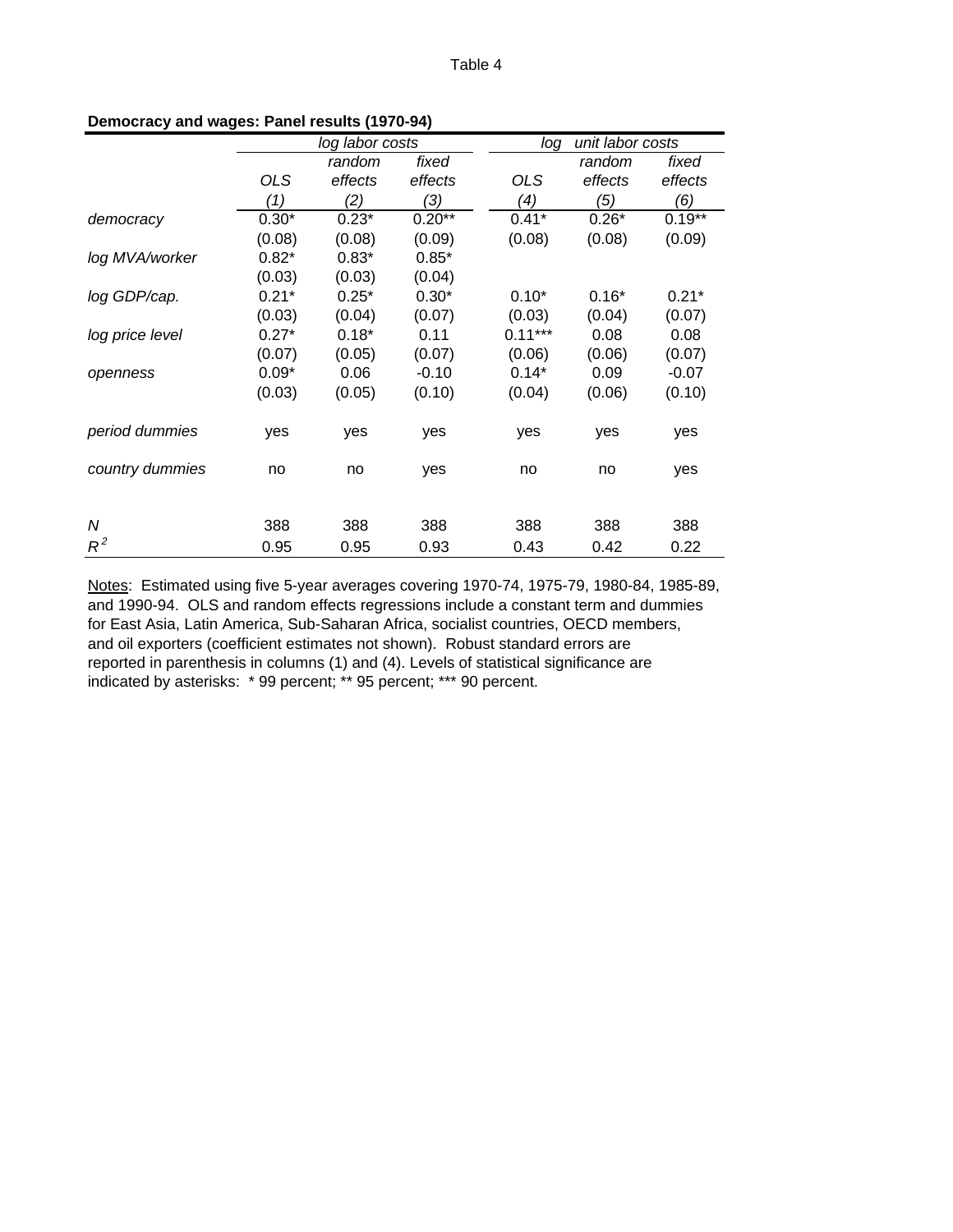|                 |            | log labor costs |          |  | unit labor costs<br>log |         |          |  |  |
|-----------------|------------|-----------------|----------|--|-------------------------|---------|----------|--|--|
|                 |            | random          | fixed    |  |                         | random  | fixed    |  |  |
|                 | <b>OLS</b> | effects         | effects  |  | <b>OLS</b>              | effects | effects  |  |  |
|                 | (1)        | (2)             | (3)      |  | (4)                     | (5)     | (6)      |  |  |
| democracy       | $0.30*$    | $0.23*$         | $0.20**$ |  | $0.41*$                 | $0.26*$ | $0.19**$ |  |  |
|                 | (0.08)     | (0.08)          | (0.09)   |  | (0.08)                  | (0.08)  | (0.09)   |  |  |
| log MVA/worker  | $0.82*$    | $0.83*$         | $0.85*$  |  |                         |         |          |  |  |
|                 | (0.03)     | (0.03)          | (0.04)   |  |                         |         |          |  |  |
| log GDP/cap.    | $0.21*$    | $0.25*$         | $0.30*$  |  | $0.10*$                 | $0.16*$ | $0.21*$  |  |  |
|                 | (0.03)     | (0.04)          | (0.07)   |  | (0.03)                  | (0.04)  | (0.07)   |  |  |
| log price level | $0.27*$    | $0.18*$         | 0.11     |  | $0.11***$               | 0.08    | 0.08     |  |  |
|                 | (0.07)     | (0.05)          | (0.07)   |  | (0.06)                  | (0.06)  | (0.07)   |  |  |
| openness        | $0.09*$    | 0.06            | $-0.10$  |  | $0.14*$                 | 0.09    | $-0.07$  |  |  |
|                 | (0.03)     | (0.05)          | (0.10)   |  | (0.04)                  | (0.06)  | (0.10)   |  |  |
| period dummies  | yes        | yes             | yes      |  | yes                     | yes     | yes      |  |  |
| country dummies | no         | no              | yes      |  | no                      | no      | yes      |  |  |
|                 |            |                 |          |  |                         |         |          |  |  |
| N               | 388        | 388             | 388      |  | 388                     | 388     | 388      |  |  |
| $R^2$           | 0.95       | 0.95            | 0.93     |  | 0.43                    | 0.42    | 0.22     |  |  |

#### **Democracy and wages: Panel results (1970-94)**

Notes: Estimated using five 5-year averages covering 1970-74, 1975-79, 1980-84, 1985-89, and 1990-94. OLS and random effects regressions include a constant term and dummies for East Asia, Latin America, Sub-Saharan Africa, socialist countries, OECD members, and oil exporters (coefficient estimates not shown). Robust standard errors are reported in parenthesis in columns (1) and (4). Levels of statistical significance are indicated by asterisks: \* 99 percent; \*\* 95 percent; \*\*\* 90 percent.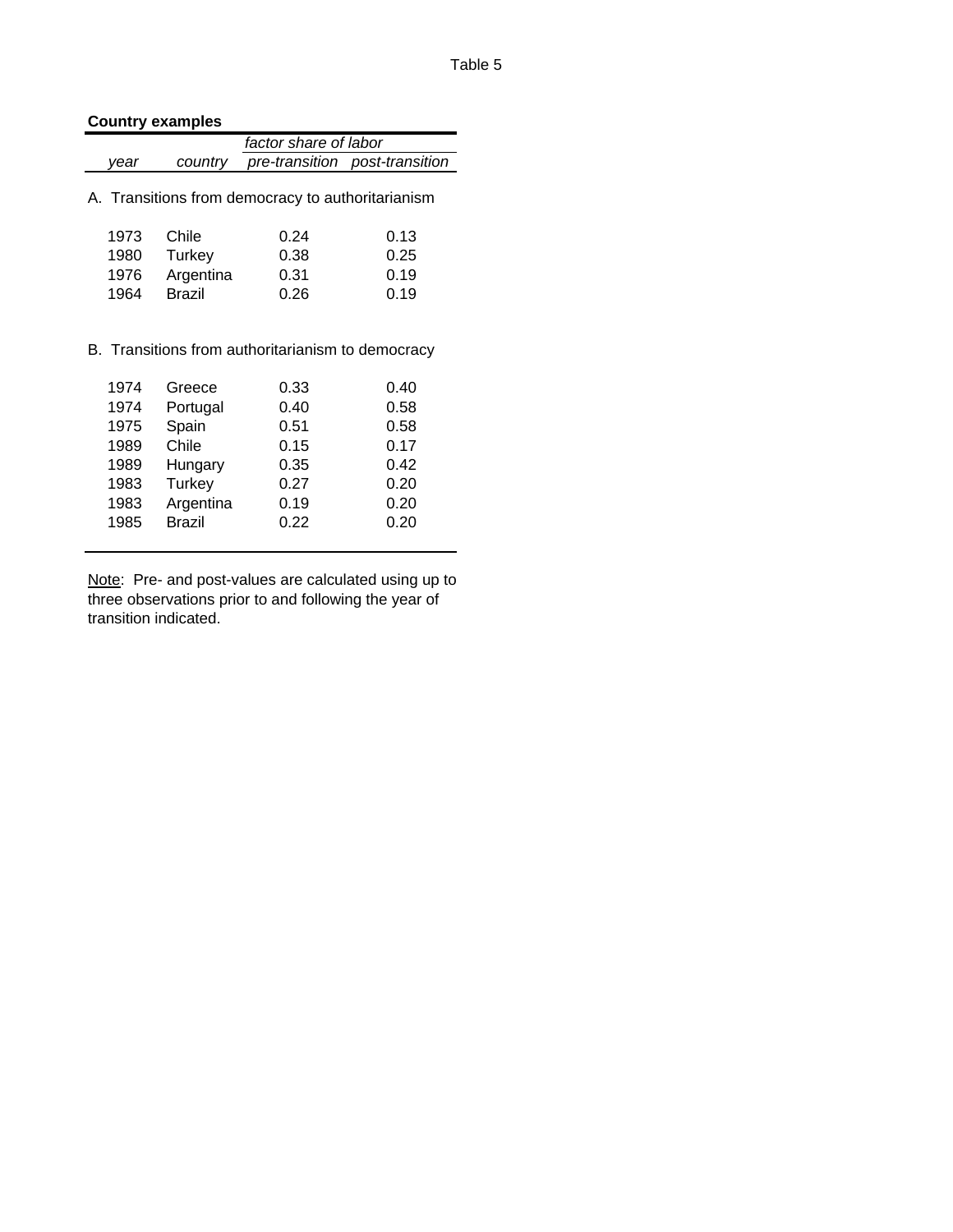# **Country examples**

|      | factor share of labor |                                                   |                                |
|------|-----------------------|---------------------------------------------------|--------------------------------|
| vear | country               |                                                   | pre-transition post-transition |
|      |                       | A. Transitions from democracy to authoritarianism |                                |
| 1973 | Chile                 | 0.24                                              | 0.13                           |
| 1980 | Turkey                | 0.38                                              | 0.25                           |
| 1976 | Argentina             | 0.31                                              | 0.19                           |
| 1964 | <b>Brazil</b>         | 0.26                                              | 0.19                           |
|      |                       | B. Transitions from authoritarianism to democracy |                                |
| 1974 | Greece                |                                                   | 0.40                           |
| 1974 |                       | 0.33<br>0.40                                      | 0.58                           |
| 1975 | Portugal<br>Spain     | 0.51                                              | 0.58                           |
| 1989 | Chile                 | 0.15                                              | 0.17                           |
| 1989 | Hungary               | 0.35                                              | 0.42                           |
| 1983 | Turkey                | 0.27                                              | 0.20                           |
| 1983 | Argentina             | 0.19                                              | 0.20                           |
| 1985 | <b>Brazil</b>         | 0.22                                              | 0.20                           |

Note: Pre- and post-values are calculated using up to three observations prior to and following the year of transition indicated.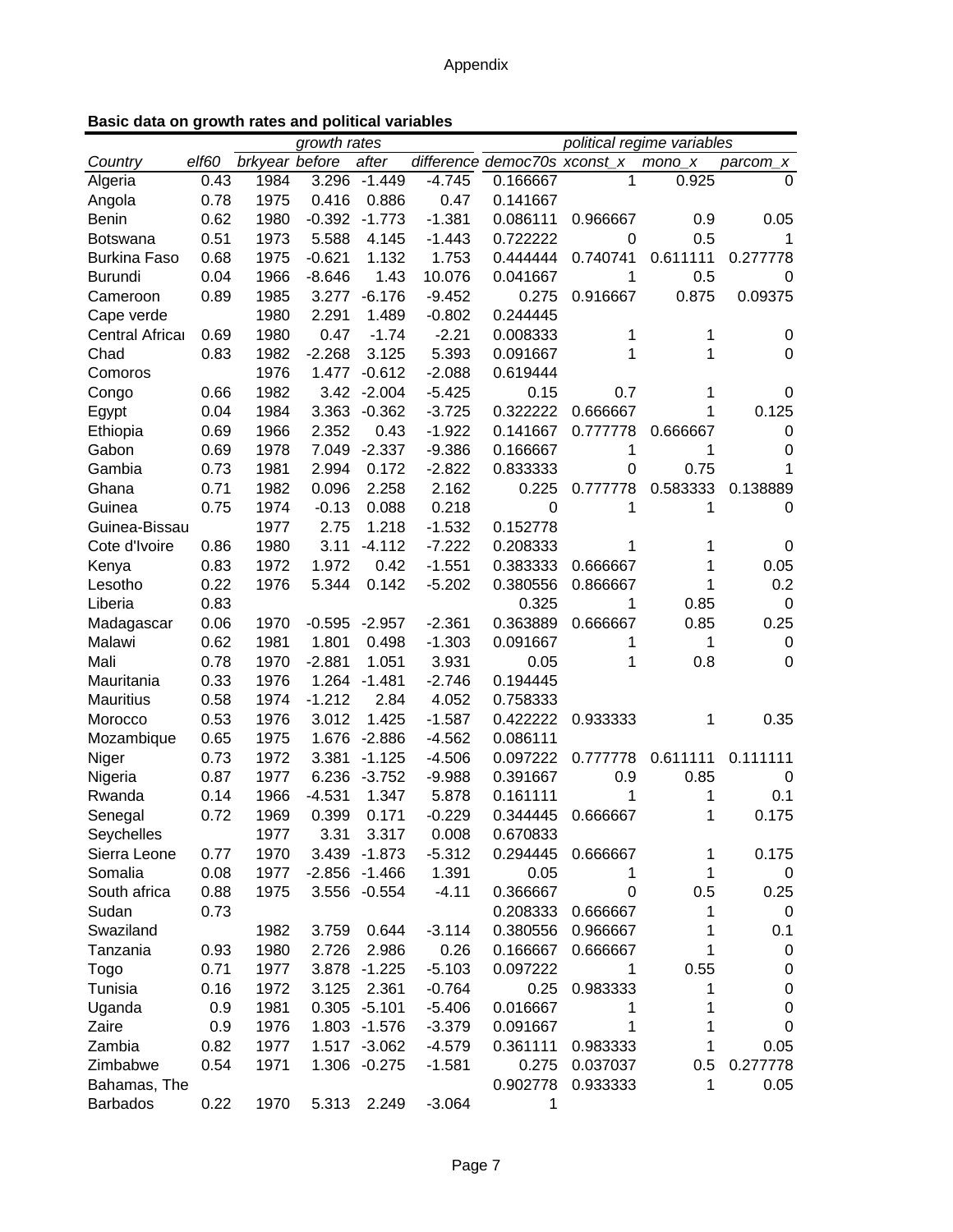|  |  |  |  |  |  | Basic data on growth rates and political variables |
|--|--|--|--|--|--|----------------------------------------------------|
|--|--|--|--|--|--|----------------------------------------------------|

| growth rates<br>political regime variables |       |                |          |                |          |                              |          |          |             |
|--------------------------------------------|-------|----------------|----------|----------------|----------|------------------------------|----------|----------|-------------|
| Country                                    | elf60 | brkyear before |          | after          |          | difference democ70s xconst_x |          | $mono_x$ | parcom_x    |
| Algeria                                    | 0.43  | 1984           | 3.296    | $-1.449$       | $-4.745$ | 0.166667                     | 1        | 0.925    | 0           |
| Angola                                     | 0.78  | 1975           | 0.416    | 0.886          | 0.47     | 0.141667                     |          |          |             |
| <b>Benin</b>                               | 0.62  | 1980           | $-0.392$ | $-1.773$       | $-1.381$ | 0.086111                     | 0.966667 | 0.9      | 0.05        |
| <b>Botswana</b>                            | 0.51  | 1973           | 5.588    | 4.145          | $-1.443$ | 0.722222                     | 0        | 0.5      | 1           |
| <b>Burkina Faso</b>                        | 0.68  | 1975           | $-0.621$ | 1.132          | 1.753    | 0.444444                     | 0.740741 | 0.611111 | 0.277778    |
| <b>Burundi</b>                             | 0.04  | 1966           | $-8.646$ | 1.43           | 10.076   | 0.041667                     | 1        | 0.5      | 0           |
| Cameroon                                   | 0.89  | 1985           | 3.277    | $-6.176$       | $-9.452$ | 0.275                        | 0.916667 | 0.875    | 0.09375     |
| Cape verde                                 |       | 1980           | 2.291    | 1.489          | $-0.802$ | 0.244445                     |          |          |             |
| Central Africar                            | 0.69  | 1980           | 0.47     | $-1.74$        | $-2.21$  | 0.008333                     | 1        | 1        | 0           |
| Chad                                       | 0.83  | 1982           | $-2.268$ | 3.125          | 5.393    | 0.091667                     | 1        | 1        | 0           |
| Comoros                                    |       | 1976           | 1.477    | $-0.612$       | $-2.088$ | 0.619444                     |          |          |             |
| Congo                                      | 0.66  | 1982           | 3.42     | $-2.004$       | $-5.425$ | 0.15                         | 0.7      | 1        | 0           |
| Egypt                                      | 0.04  | 1984           | 3.363    | $-0.362$       | $-3.725$ | 0.322222                     | 0.666667 | 1        | 0.125       |
| Ethiopia                                   | 0.69  | 1966           | 2.352    | 0.43           | $-1.922$ | 0.141667                     | 0.777778 | 0.666667 | $\mathbf 0$ |
| Gabon                                      | 0.69  | 1978           | 7.049    | $-2.337$       | $-9.386$ | 0.166667                     | 1        | 1        | 0           |
| Gambia                                     | 0.73  | 1981           | 2.994    | 0.172          | $-2.822$ | 0.833333                     | 0        | 0.75     | 1           |
| Ghana                                      | 0.71  | 1982           | 0.096    | 2.258          | 2.162    | 0.225                        | 0.777778 | 0.583333 | 0.138889    |
| Guinea                                     | 0.75  | 1974           | $-0.13$  | 0.088          | 0.218    | 0                            | 1        | 1        | 0           |
| Guinea-Bissau                              |       | 1977           | 2.75     | 1.218          | $-1.532$ | 0.152778                     |          |          |             |
| Cote d'Ivoire                              | 0.86  | 1980           | 3.11     | $-4.112$       | $-7.222$ | 0.208333                     | 1        | 1        | 0           |
|                                            | 0.83  | 1972           | 1.972    | 0.42           | $-1.551$ | 0.383333                     |          |          | 0.05        |
| Kenya                                      | 0.22  |                | 5.344    | 0.142          |          | 0.380556                     | 0.666667 | 1        | 0.2         |
| Lesotho                                    | 0.83  | 1976           |          |                | $-5.202$ |                              | 0.866667 |          |             |
| Liberia                                    |       |                |          |                |          | 0.325                        | 1        | 0.85     | $\mathbf 0$ |
| Madagascar                                 | 0.06  | 1970           | $-0.595$ | $-2.957$       | $-2.361$ | 0.363889                     | 0.666667 | 0.85     | 0.25        |
| Malawi                                     | 0.62  | 1981           | 1.801    | 0.498          | $-1.303$ | 0.091667                     | 1        | 1        | 0           |
| Mali                                       | 0.78  | 1970           | $-2.881$ | 1.051          | 3.931    | 0.05                         | 1        | 0.8      | $\Omega$    |
| Mauritania                                 | 0.33  | 1976           | 1.264    | $-1.481$       | $-2.746$ | 0.194445                     |          |          |             |
| <b>Mauritius</b>                           | 0.58  | 1974           | $-1.212$ | 2.84           | 4.052    | 0.758333                     |          |          |             |
| Morocco                                    | 0.53  | 1976           | 3.012    | 1.425          | $-1.587$ | 0.422222                     | 0.933333 | 1        | 0.35        |
| Mozambique                                 | 0.65  | 1975           | 1.676    | $-2.886$       | $-4.562$ | 0.086111                     |          |          |             |
| Niger                                      | 0.73  | 1972           | 3.381    | $-1.125$       | $-4.506$ | 0.097222                     | 0.777778 | 0.611111 | 0.111111    |
| Nigeria                                    | 0.87  | 1977           | 6.236    | $-3.752$       | $-9.988$ | 0.391667                     | 0.9      | 0.85     | 0           |
| Rwanda                                     | 0.14  | 1966           | $-4.531$ | 1.347          | 5.878    | 0.161111                     | 1        | 1        | 0.1         |
| Senegal                                    | 0.72  | 1969           | 0.399    | 0.171          | $-0.229$ | 0.344445                     | 0.666667 | 1        | 0.175       |
| Seychelles                                 |       | 1977           | 3.31     | 3.317          | 0.008    | 0.670833                     |          |          |             |
| Sierra Leone                               | 0.77  | 1970           | 3.439    | $-1.873$       | $-5.312$ | 0.294445                     | 0.666667 | 1        | 0.175       |
| Somalia                                    | 0.08  | 1977           | $-2.856$ | $-1.466$       | 1.391    | 0.05                         | 1        | 1        | 0           |
| South africa                               | 0.88  | 1975           |          | 3.556 -0.554   | $-4.11$  | 0.366667                     | 0        | 0.5      | 0.25        |
| Sudan                                      | 0.73  |                |          |                |          | 0.208333                     | 0.666667 | 1        | 0           |
| Swaziland                                  |       | 1982           | 3.759    | 0.644          | $-3.114$ | 0.380556                     | 0.966667 | 1        | 0.1         |
| Tanzania                                   | 0.93  | 1980           | 2.726    | 2.986          | 0.26     | 0.166667                     | 0.666667 | 1        | 0           |
| Togo                                       | 0.71  | 1977           |          | 3.878 - 1.225  | $-5.103$ | 0.097222                     | 1        | 0.55     | 0           |
| Tunisia                                    | 0.16  | 1972           | 3.125    | 2.361          | $-0.764$ | 0.25                         | 0.983333 | 1        | 0           |
| Uganda                                     | 0.9   | 1981           |          | $0.305 -5.101$ | $-5.406$ | 0.016667                     | 1        |          | 0           |
| Zaire                                      | 0.9   | 1976           |          | 1.803 -1.576   | $-3.379$ | 0.091667                     | 1        |          | 0           |
| Zambia                                     | 0.82  | 1977           |          | 1.517 -3.062   | $-4.579$ | 0.361111                     | 0.983333 | 1        | 0.05        |
| Zimbabwe                                   | 0.54  | 1971           |          | 1.306 -0.275   | $-1.581$ | 0.275                        | 0.037037 | 0.5      | 0.277778    |
| Bahamas, The                               |       |                |          |                |          | 0.902778                     | 0.933333 | 1        | 0.05        |
| <b>Barbados</b>                            | 0.22  | 1970           | 5.313    | 2.249          | $-3.064$ | 1                            |          |          |             |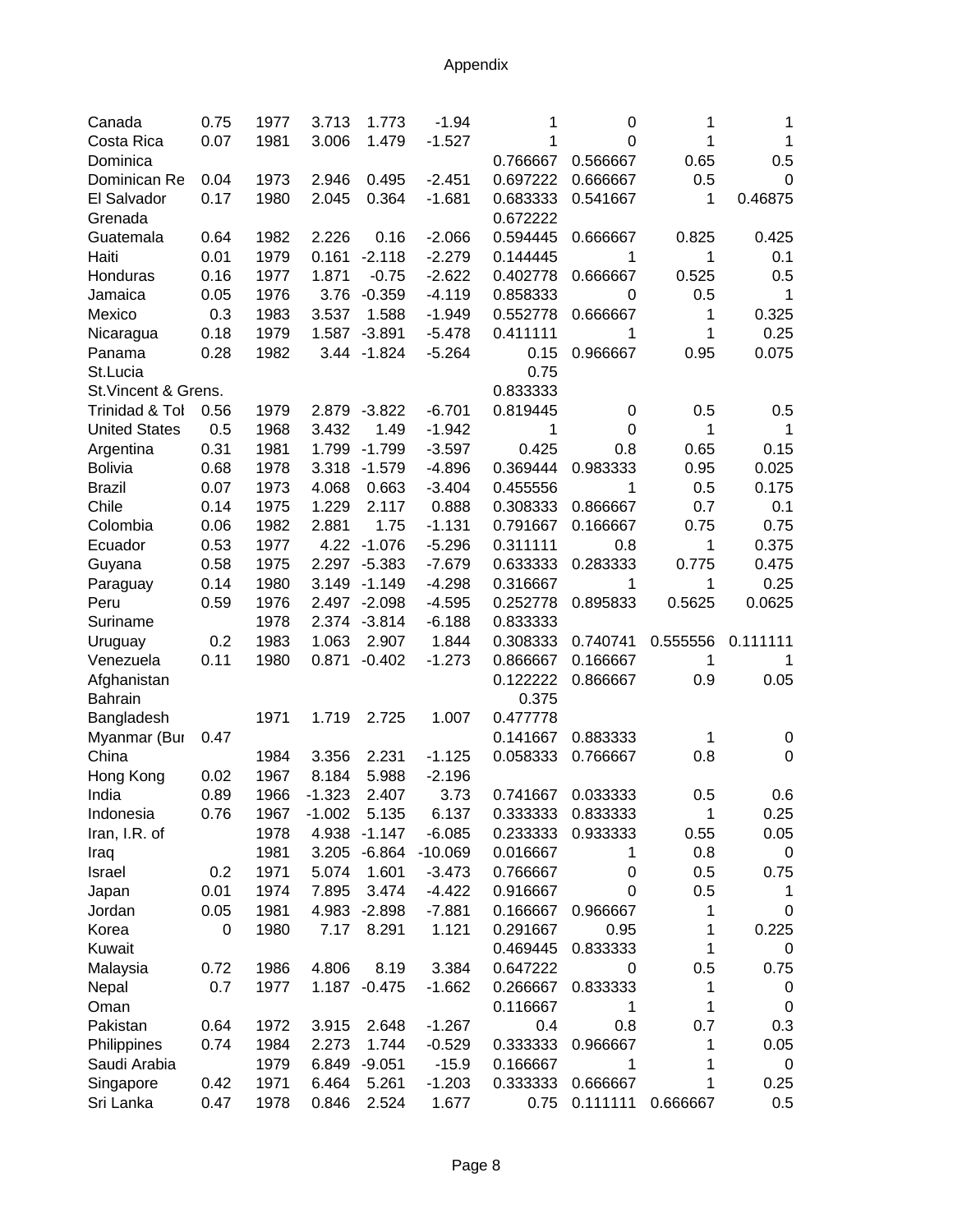| Canada                 | 0.75 | 1977 | 3.713    | 1.773        | $-1.94$   | 1        | 0                | 1        | 1        |
|------------------------|------|------|----------|--------------|-----------|----------|------------------|----------|----------|
| Costa Rica             | 0.07 | 1981 | 3.006    | 1.479        | $-1.527$  | 1        | 0                | 1        | 1        |
| Dominica               |      |      |          |              |           | 0.766667 | 0.566667         | 0.65     | 0.5      |
| Dominican Re           | 0.04 | 1973 | 2.946    | 0.495        | $-2.451$  | 0.697222 | 0.666667         | 0.5      | $\Omega$ |
| El Salvador            | 0.17 | 1980 | 2.045    | 0.364        | $-1.681$  | 0.683333 | 0.541667         | 1        | 0.46875  |
| Grenada                |      |      |          |              |           | 0.672222 |                  |          |          |
| Guatemala              | 0.64 | 1982 | 2.226    | 0.16         | $-2.066$  | 0.594445 | 0.666667         | 0.825    | 0.425    |
| Haiti                  | 0.01 | 1979 | 0.161    | $-2.118$     | $-2.279$  | 0.144445 | 1                | 1        | 0.1      |
| Honduras               | 0.16 | 1977 | 1.871    | $-0.75$      | $-2.622$  | 0.402778 | 0.666667         | 0.525    | 0.5      |
| Jamaica                | 0.05 | 1976 | 3.76     | $-0.359$     | $-4.119$  | 0.858333 | 0                | 0.5      | 1        |
| Mexico                 | 0.3  | 1983 | 3.537    | 1.588        | $-1.949$  | 0.552778 | 0.666667         | 1        | 0.325    |
| Nicaragua              | 0.18 | 1979 | 1.587    | $-3.891$     | $-5.478$  | 0.411111 | 1                | 1        | 0.25     |
| Panama                 | 0.28 | 1982 |          | 3.44 - 1.824 | $-5.264$  | 0.15     | 0.966667         | 0.95     | 0.075    |
| St.Lucia               |      |      |          |              |           | 0.75     |                  |          |          |
| St. Vincent & Grens.   |      |      |          |              |           | 0.833333 |                  |          |          |
| Trinidad & Tol         | 0.56 | 1979 |          | 2.879 -3.822 | $-6.701$  | 0.819445 | $\boldsymbol{0}$ | 0.5      | 0.5      |
| <b>United States</b>   | 0.5  | 1968 | 3.432    | 1.49         | $-1.942$  | 1        | $\mathbf 0$      | 1        | 1        |
| Argentina              | 0.31 | 1981 | 1.799    | $-1.799$     | $-3.597$  | 0.425    | 0.8              | 0.65     | 0.15     |
| <b>Bolivia</b>         | 0.68 | 1978 | 3.318    | $-1.579$     | $-4.896$  | 0.369444 | 0.983333         | 0.95     | 0.025    |
| <b>Brazil</b>          | 0.07 | 1973 | 4.068    | 0.663        | $-3.404$  | 0.455556 | 1                | 0.5      | 0.175    |
| Chile                  | 0.14 | 1975 | 1.229    | 2.117        | 0.888     | 0.308333 | 0.866667         | 0.7      | 0.1      |
| Colombia               | 0.06 | 1982 | 2.881    | 1.75         | $-1.131$  | 0.791667 | 0.166667         | 0.75     | 0.75     |
| Ecuador                | 0.53 | 1977 | 4.22     | $-1.076$     | $-5.296$  | 0.311111 | 0.8              | 1        | 0.375    |
| Guyana                 | 0.58 | 1975 | 2.297    | $-5.383$     | $-7.679$  | 0.633333 | 0.283333         | 0.775    | 0.475    |
| Paraguay               | 0.14 | 1980 | 3.149    | $-1.149$     | $-4.298$  | 0.316667 | 1                | 1        | 0.25     |
| Peru                   | 0.59 | 1976 | 2.497    | $-2.098$     | $-4.595$  | 0.252778 | 0.895833         | 0.5625   | 0.0625   |
| Suriname               |      | 1978 |          | 2.374 -3.814 | $-6.188$  | 0.833333 |                  |          |          |
| Uruguay                | 0.2  | 1983 | 1.063    | 2.907        | 1.844     | 0.308333 | 0.740741         | 0.555556 | 0.111111 |
| Venezuela              | 0.11 | 1980 | 0.871    | $-0.402$     | $-1.273$  | 0.866667 | 0.166667         | 1        |          |
| Afghanistan            |      |      |          |              |           | 0.122222 | 0.866667         | 0.9      | 0.05     |
| <b>Bahrain</b>         |      |      |          |              |           | 0.375    |                  |          |          |
| Bangladesh             |      | 1971 | 1.719    | 2.725        | 1.007     | 0.477778 |                  |          |          |
| Myanmar (Bur           | 0.47 |      |          |              |           | 0.141667 | 0.883333         | 1        | 0        |
| China                  |      | 1984 | 3.356    | 2.231        | $-1.125$  | 0.058333 | 0.766667         | 0.8      | 0        |
| Hong Kong              | 0.02 | 1967 | 8.184    | 5.988        | $-2.196$  |          |                  |          |          |
| India                  | 0.89 | 1966 | $-1.323$ | 2.407        | 3.73      | 0.741667 | 0.033333         | 0.5      | 0.6      |
| Indonesia              | 0.76 | 1967 | $-1.002$ | 5.135        | 6.137     | 0.333333 | 0.833333         | 1        | 0.25     |
| Iran, I.R. of          |      | 1978 | 4.938    | $-1.147$     | $-6.085$  | 0.233333 | 0.933333         | 0.55     | 0.05     |
| Iraq                   |      | 1981 | 3.205    | $-6.864$     | $-10.069$ | 0.016667 | 1                | 0.8      | 0        |
| Israel                 | 0.2  | 1971 | 5.074    | 1.601        | $-3.473$  | 0.766667 | 0                | 0.5      | 0.75     |
| Japan                  | 0.01 | 1974 | 7.895    | 3.474        | $-4.422$  | 0.916667 | 0                | 0.5      | 1        |
| Jordan                 | 0.05 | 1981 | 4.983    | $-2.898$     | $-7.881$  | 0.166667 | 0.966667         | 1        | 0        |
| Korea                  | 0    | 1980 | 7.17     | 8.291        | 1.121     | 0.291667 | 0.95             | 1        | 0.225    |
| Kuwait                 |      |      |          |              |           | 0.469445 | 0.833333         | 1        | 0        |
| Malaysia               | 0.72 | 1986 | 4.806    | 8.19         | 3.384     | 0.647222 | 0                | 0.5      | 0.75     |
| Nepal                  | 0.7  | 1977 | 1.187    | $-0.475$     | $-1.662$  | 0.266667 | 0.833333         | 1        | 0        |
| Oman                   |      |      |          |              |           | 0.116667 | 1                | 1        | 0        |
| Pakistan               | 0.64 | 1972 | 3.915    | 2.648        | $-1.267$  | 0.4      | 0.8              | 0.7      | 0.3      |
| Philippines            | 0.74 | 1984 | 2.273    | 1.744        | $-0.529$  | 0.333333 | 0.966667         | 1        | 0.05     |
| Saudi Arabia           |      | 1979 | 6.849    | $-9.051$     | $-15.9$   | 0.166667 | 1                | 1        | 0        |
|                        | 0.42 | 1971 | 6.464    | 5.261        | $-1.203$  | 0.333333 | 0.666667         | 1        | 0.25     |
| Singapore<br>Sri Lanka | 0.47 | 1978 | 0.846    | 2.524        |           | 0.75     | 0.111111         | 0.666667 | 0.5      |
|                        |      |      |          |              | 1.677     |          |                  |          |          |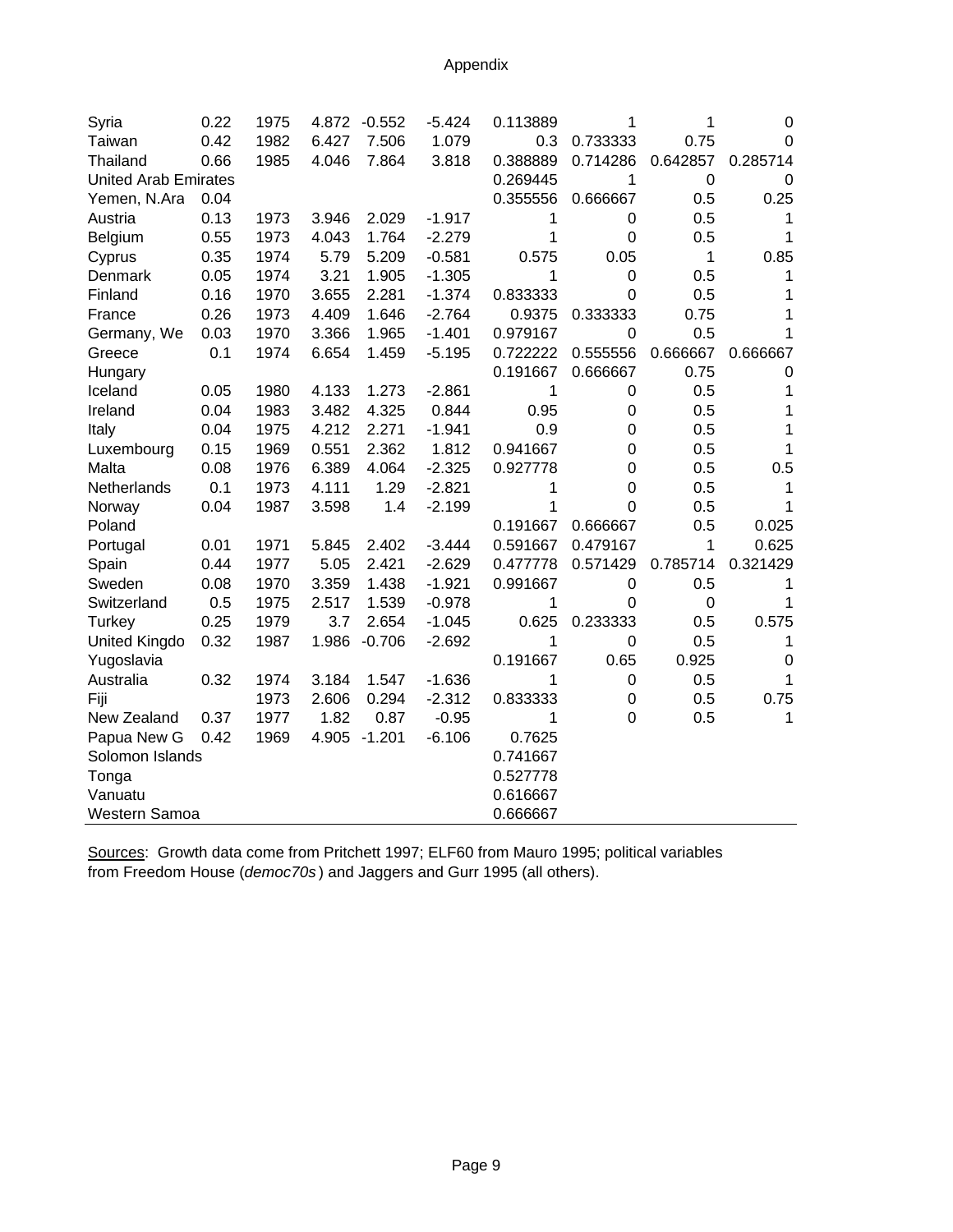| Syria                       | 0.22 | 1975 | 4.872 | $-0.552$ | $-5.424$ | 0.113889 | 1           | 1           | 0        |
|-----------------------------|------|------|-------|----------|----------|----------|-------------|-------------|----------|
| Taiwan                      | 0.42 | 1982 | 6.427 | 7.506    | 1.079    | 0.3      | 0.733333    | 0.75        | 0        |
| Thailand                    | 0.66 | 1985 | 4.046 | 7.864    | 3.818    | 0.388889 | 0.714286    | 0.642857    | 0.285714 |
| <b>United Arab Emirates</b> |      |      |       |          |          | 0.269445 | 1           | $\mathbf 0$ | 0        |
| Yemen, N.Ara                | 0.04 |      |       |          |          | 0.355556 | 0.666667    | 0.5         | 0.25     |
| Austria                     | 0.13 | 1973 | 3.946 | 2.029    | $-1.917$ | 1        | 0           | 0.5         | 1        |
| Belgium                     | 0.55 | 1973 | 4.043 | 1.764    | $-2.279$ | 1        | 0           | 0.5         | 1        |
| Cyprus                      | 0.35 | 1974 | 5.79  | 5.209    | $-0.581$ | 0.575    | 0.05        | 1           | 0.85     |
| Denmark                     | 0.05 | 1974 | 3.21  | 1.905    | $-1.305$ | 1        | 0           | 0.5         | 1        |
| Finland                     | 0.16 | 1970 | 3.655 | 2.281    | $-1.374$ | 0.833333 | $\Omega$    | 0.5         | 1        |
| France                      | 0.26 | 1973 | 4.409 | 1.646    | $-2.764$ | 0.9375   | 0.333333    | 0.75        | 1        |
| Germany, We                 | 0.03 | 1970 | 3.366 | 1.965    | $-1.401$ | 0.979167 | 0           | 0.5         | 1        |
| Greece                      | 0.1  | 1974 | 6.654 | 1.459    | $-5.195$ | 0.722222 | 0.555556    | 0.666667    | 0.666667 |
| Hungary                     |      |      |       |          |          | 0.191667 | 0.666667    | 0.75        | 0        |
| Iceland                     | 0.05 | 1980 | 4.133 | 1.273    | $-2.861$ | 1        | 0           | 0.5         | 1        |
| Ireland                     | 0.04 | 1983 | 3.482 | 4.325    | 0.844    | 0.95     | 0           | 0.5         | 1        |
| Italy                       | 0.04 | 1975 | 4.212 | 2.271    | $-1.941$ | 0.9      | 0           | 0.5         | 1        |
| Luxembourg                  | 0.15 | 1969 | 0.551 | 2.362    | 1.812    | 0.941667 | 0           | 0.5         | 1        |
| Malta                       | 0.08 | 1976 | 6.389 | 4.064    | $-2.325$ | 0.927778 | 0           | 0.5         | 0.5      |
| Netherlands                 | 0.1  | 1973 | 4.111 | 1.29     | $-2.821$ | 1        | 0           | 0.5         | 1        |
| Norway                      | 0.04 | 1987 | 3.598 | 1.4      | $-2.199$ | 1        | 0           | 0.5         | 1        |
| Poland                      |      |      |       |          |          | 0.191667 | 0.666667    | 0.5         | 0.025    |
| Portugal                    | 0.01 | 1971 | 5.845 | 2.402    | $-3.444$ | 0.591667 | 0.479167    | 1           | 0.625    |
| Spain                       | 0.44 | 1977 | 5.05  | 2.421    | $-2.629$ | 0.477778 | 0.571429    | 0.785714    | 0.321429 |
| Sweden                      | 0.08 | 1970 | 3.359 | 1.438    | $-1.921$ | 0.991667 | 0           | 0.5         | 1        |
| Switzerland                 | 0.5  | 1975 | 2.517 | 1.539    | $-0.978$ | 1        | 0           | 0           | 1        |
| Turkey                      | 0.25 | 1979 | 3.7   | 2.654    | $-1.045$ | 0.625    | 0.233333    | 0.5         | 0.575    |
| <b>United Kingdo</b>        | 0.32 | 1987 | 1.986 | $-0.706$ | $-2.692$ | 1        | 0           | 0.5         | 1        |
| Yugoslavia                  |      |      |       |          |          | 0.191667 | 0.65        | 0.925       | 0        |
| Australia                   | 0.32 | 1974 | 3.184 | 1.547    | $-1.636$ | 1        | 0           | 0.5         | 1        |
| Fiji                        |      | 1973 | 2.606 | 0.294    | $-2.312$ | 0.833333 | 0           | 0.5         | 0.75     |
| New Zealand                 | 0.37 | 1977 | 1.82  | 0.87     | $-0.95$  | 1        | $\mathbf 0$ | 0.5         | 1        |
| Papua New G                 | 0.42 | 1969 | 4.905 | $-1.201$ | $-6.106$ | 0.7625   |             |             |          |
| Solomon Islands             |      |      |       |          |          | 0.741667 |             |             |          |
| Tonga                       |      |      |       |          |          | 0.527778 |             |             |          |
| Vanuatu                     |      |      |       |          |          | 0.616667 |             |             |          |
| Western Samoa               |      |      |       |          |          | 0.666667 |             |             |          |

Sources: Growth data come from Pritchett 1997; ELF60 from Mauro 1995; political variables from Freedom House (*democ70s* ) and Jaggers and Gurr 1995 (all others).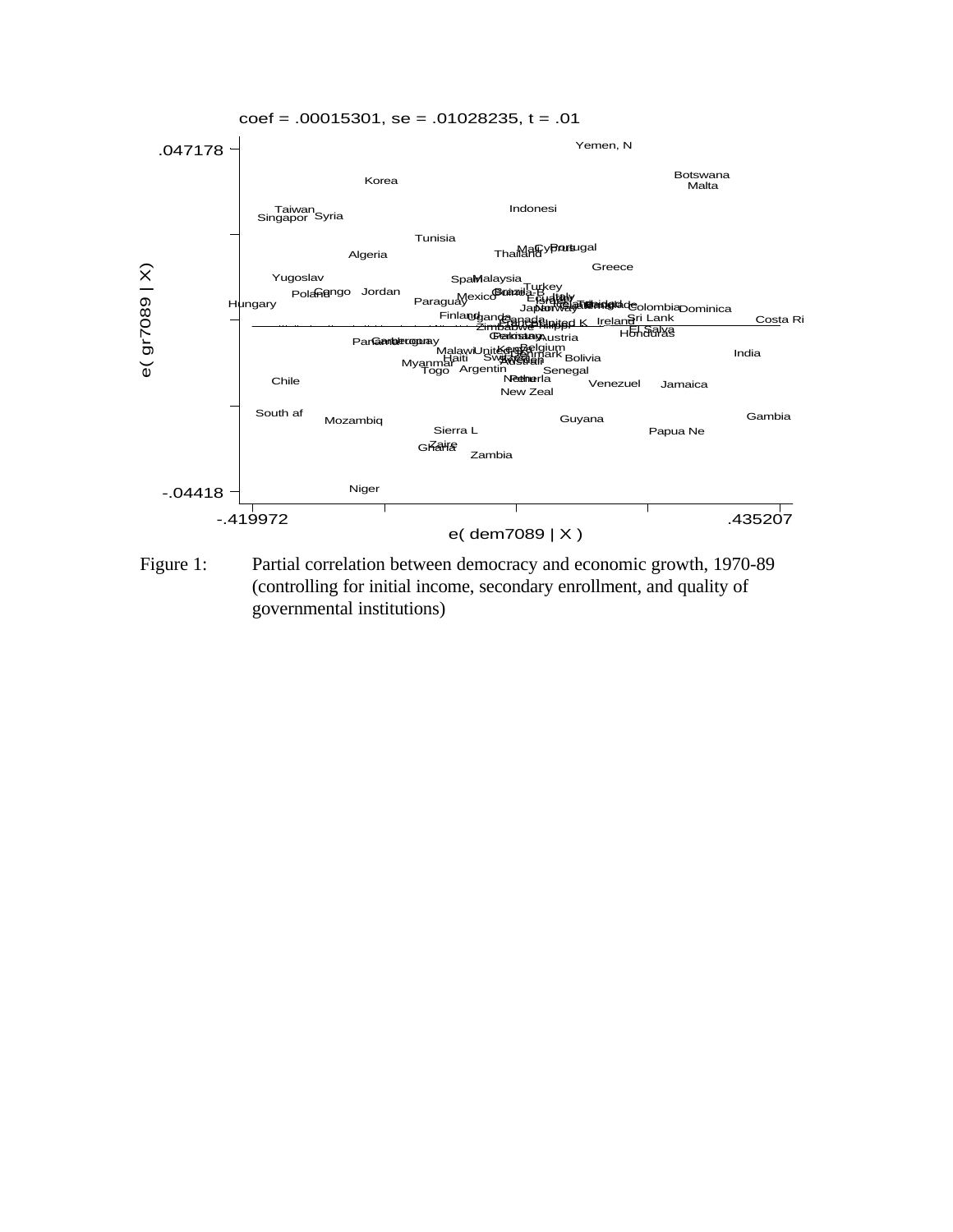

Figure 1: Partial correlation between democracy and economic growth, 1970-89 (controlling for initial income, secondary enrollment, and quality of governmental institutions)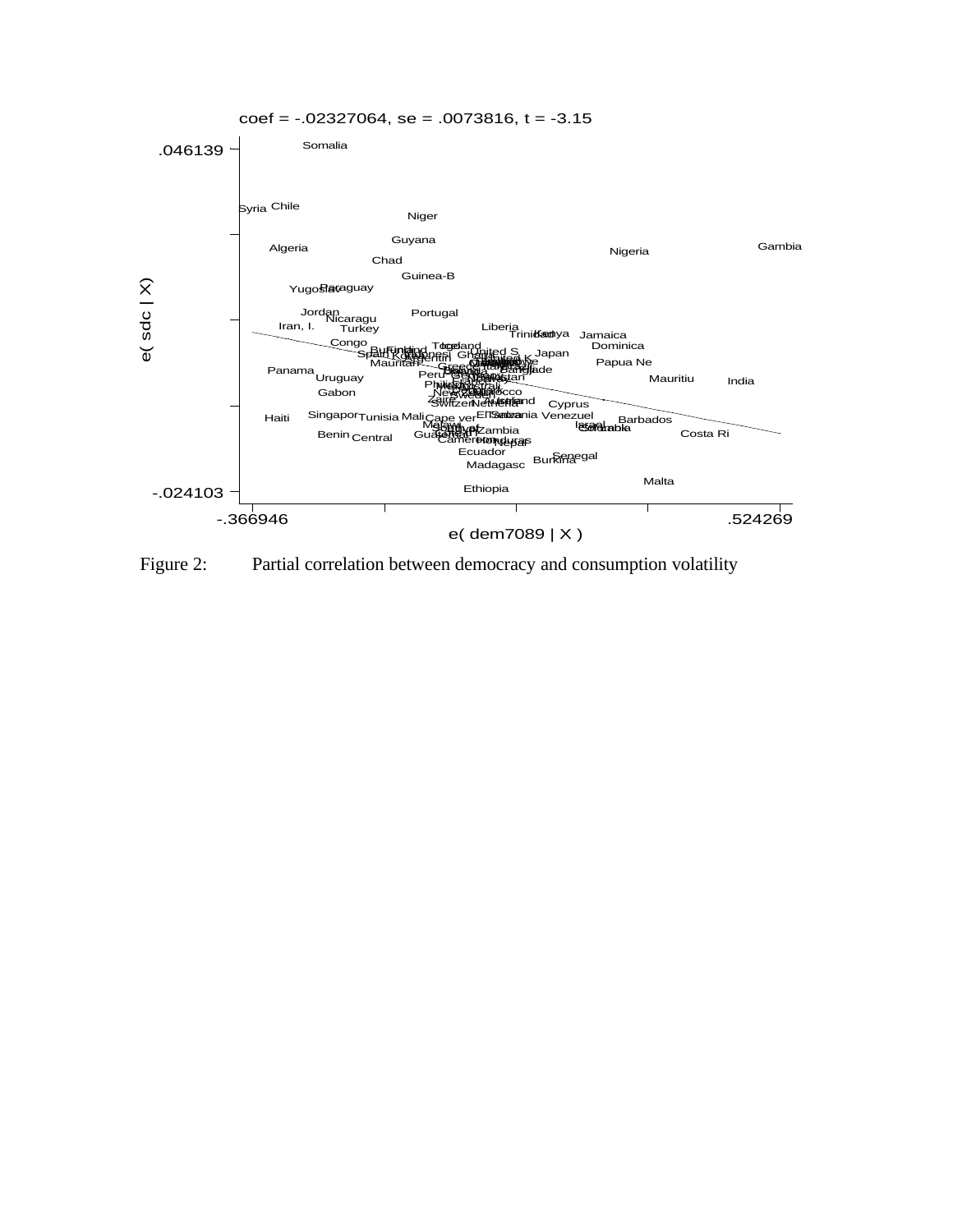

Figure 2: Partial correlation between democracy and consumption volatility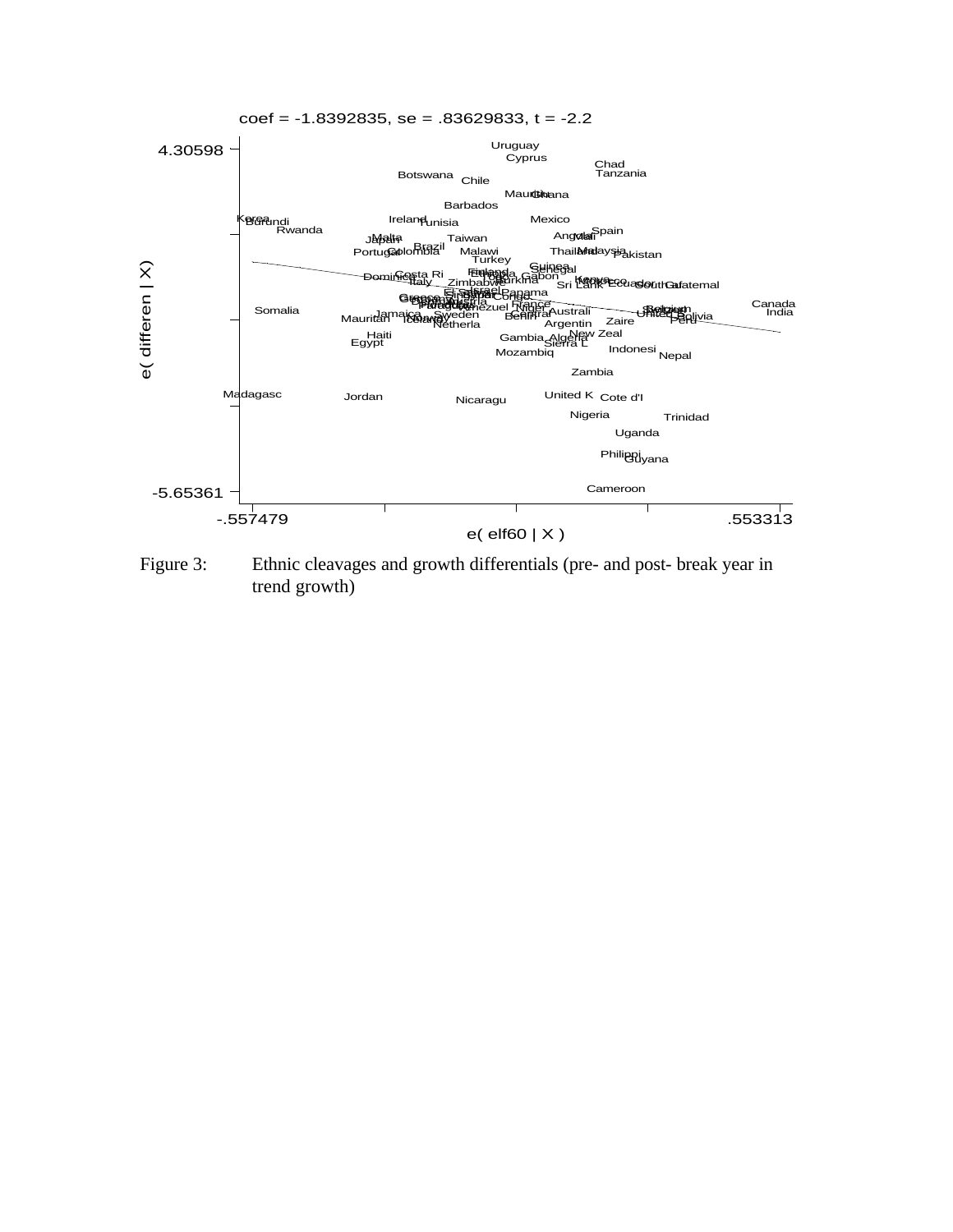

Figure 3: Ethnic cleavages and growth differentials (pre- and post- break year in trend growth)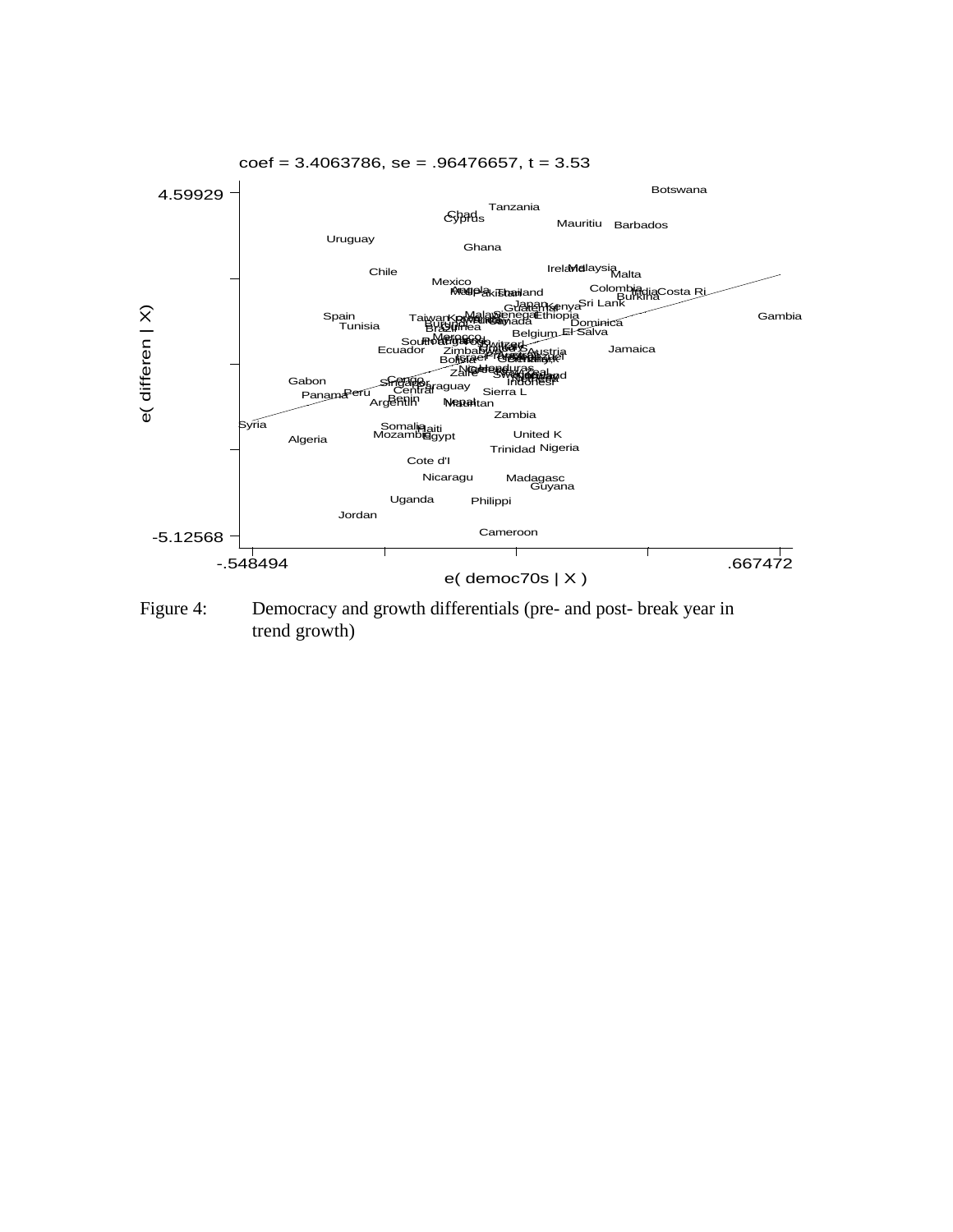

Figure 4: Democracy and growth differentials (pre- and post- break year in trend growth)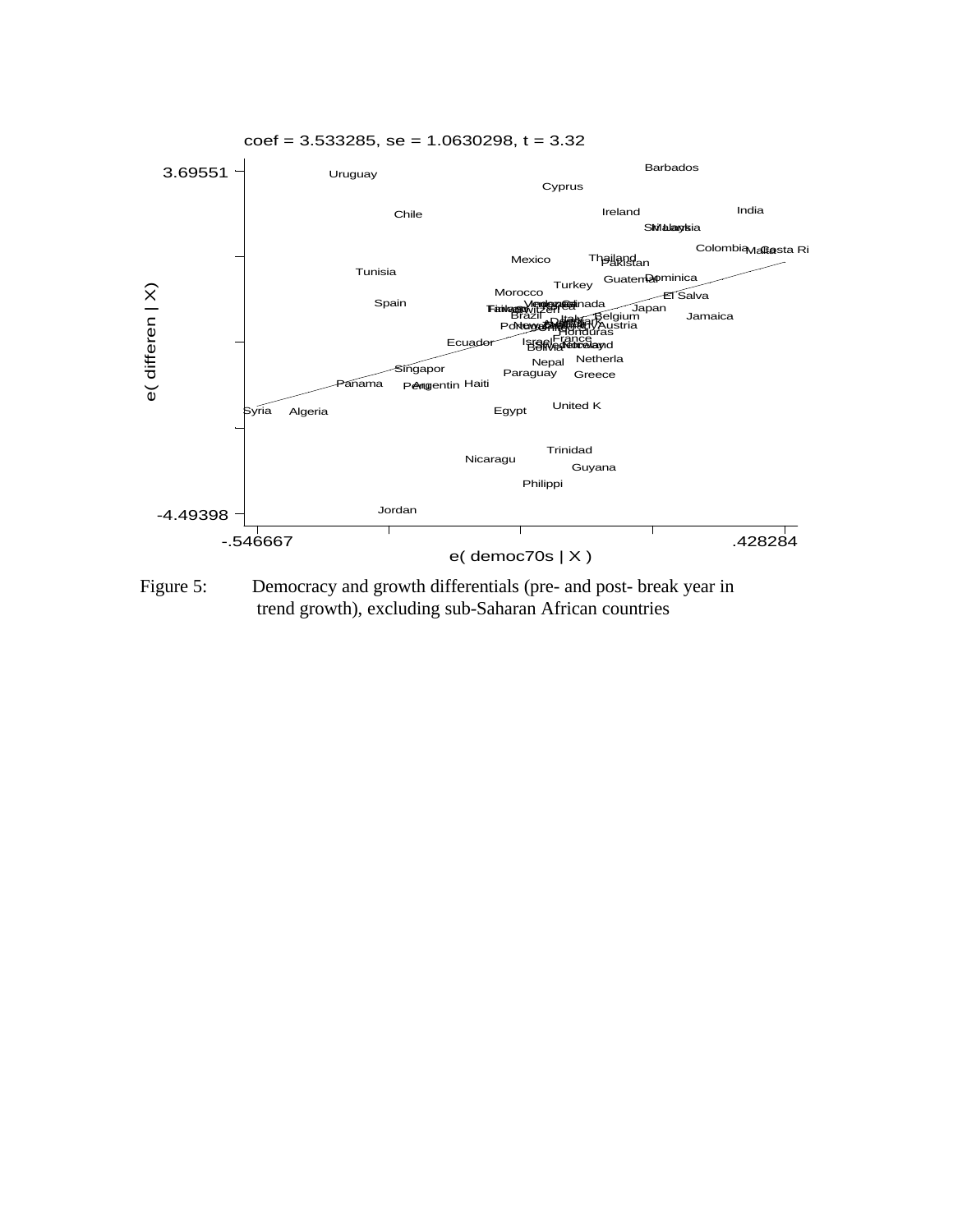

Figure 5: Democracy and growth differentials (pre- and post- break year in trend growth), excluding sub-Saharan African countries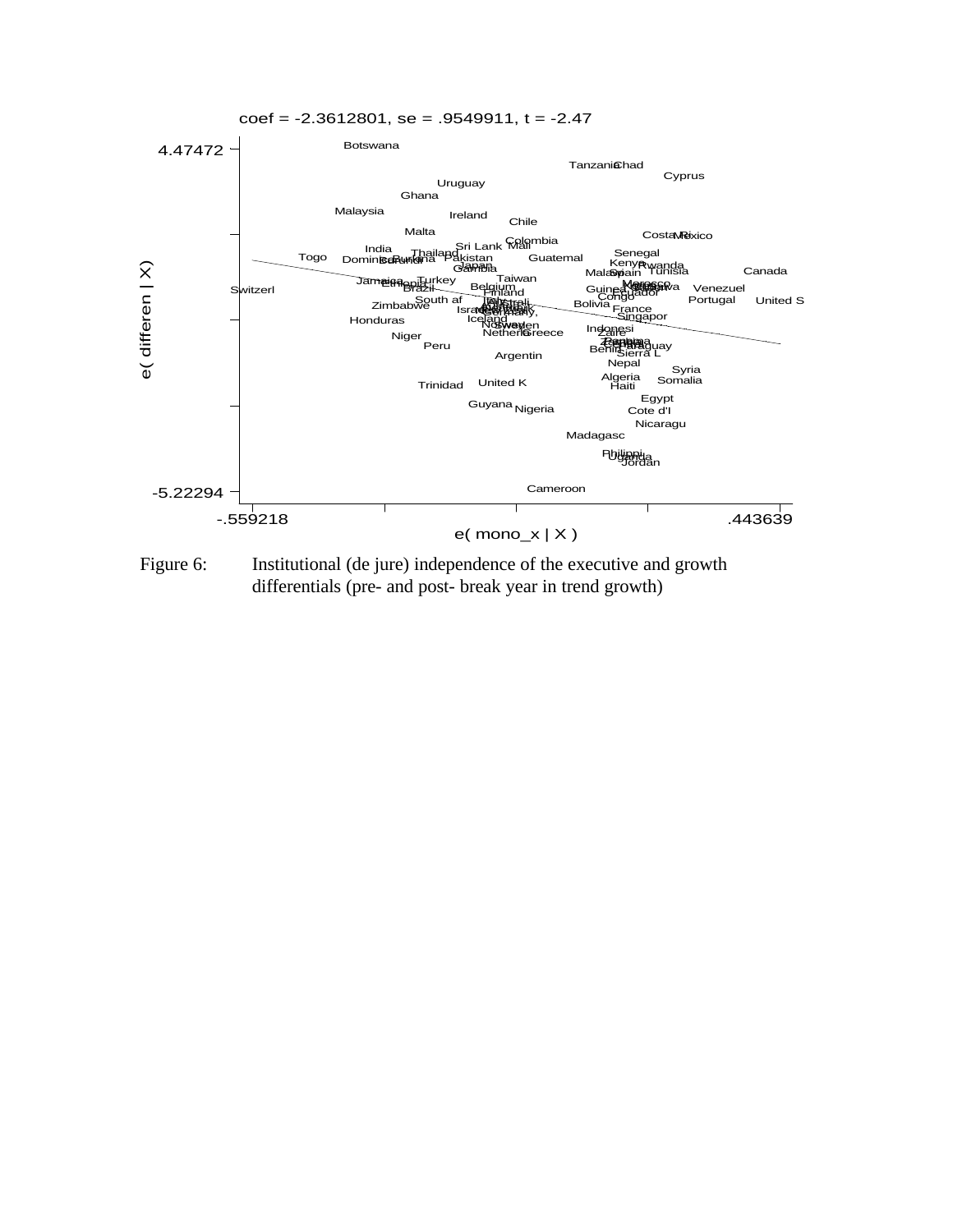

Figure 6: Institutional (de jure) independence of the executive and growth differentials (pre- and post- break year in trend growth)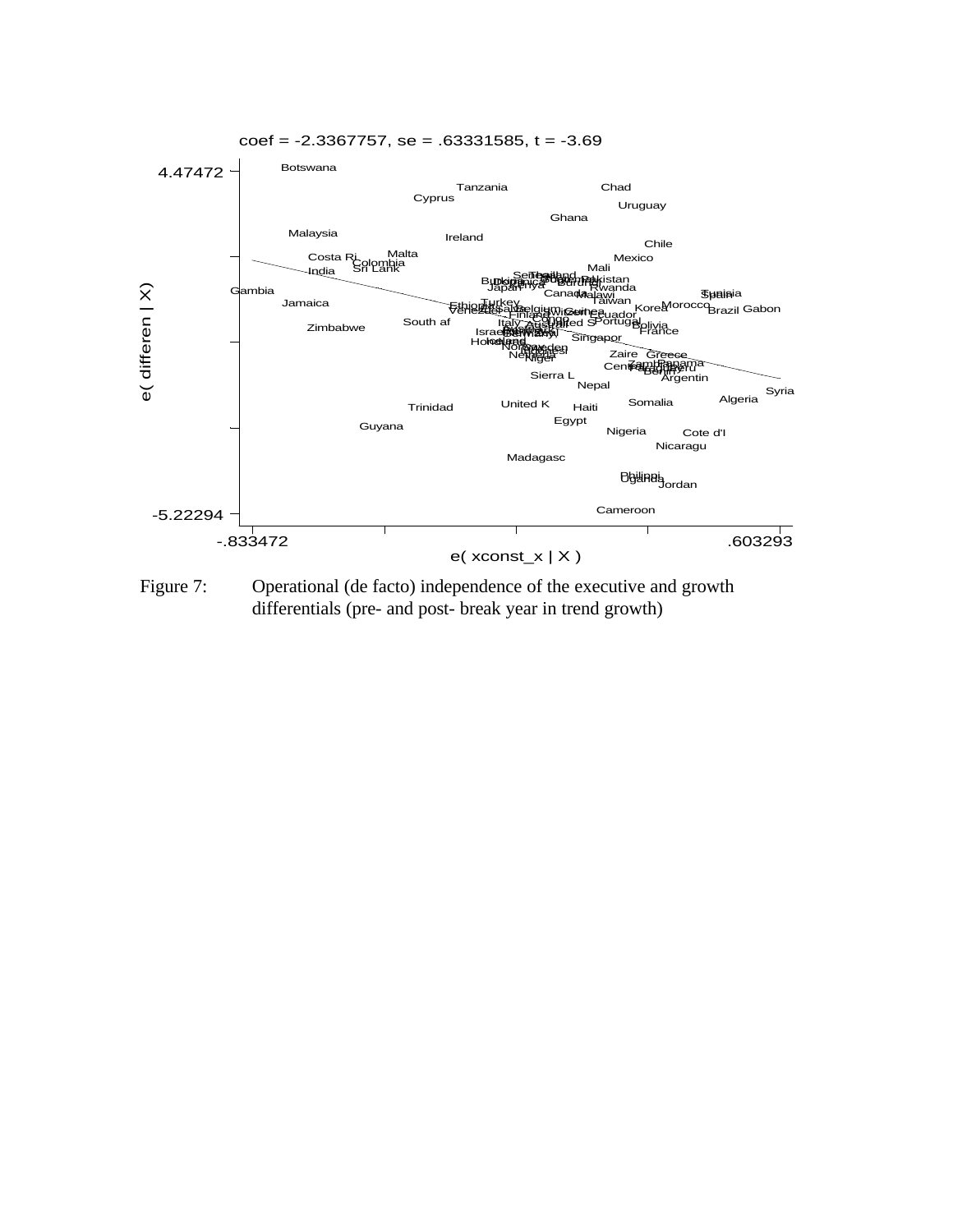

Figure 7: Operational (de facto) independence of the executive and growth differentials (pre- and post- break year in trend growth)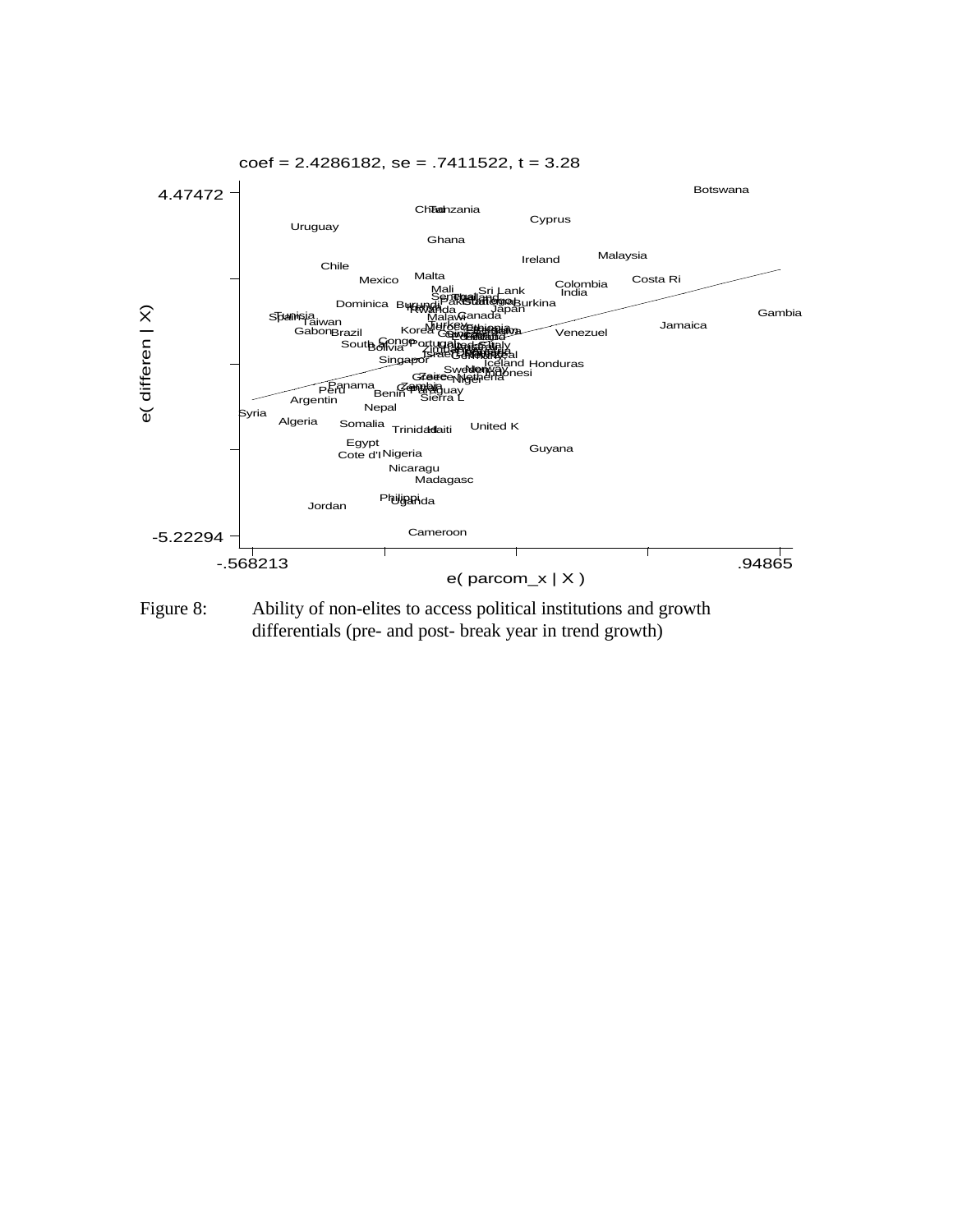

Figure 8: Ability of non-elites to access political institutions and growth differentials (pre- and post- break year in trend growth)